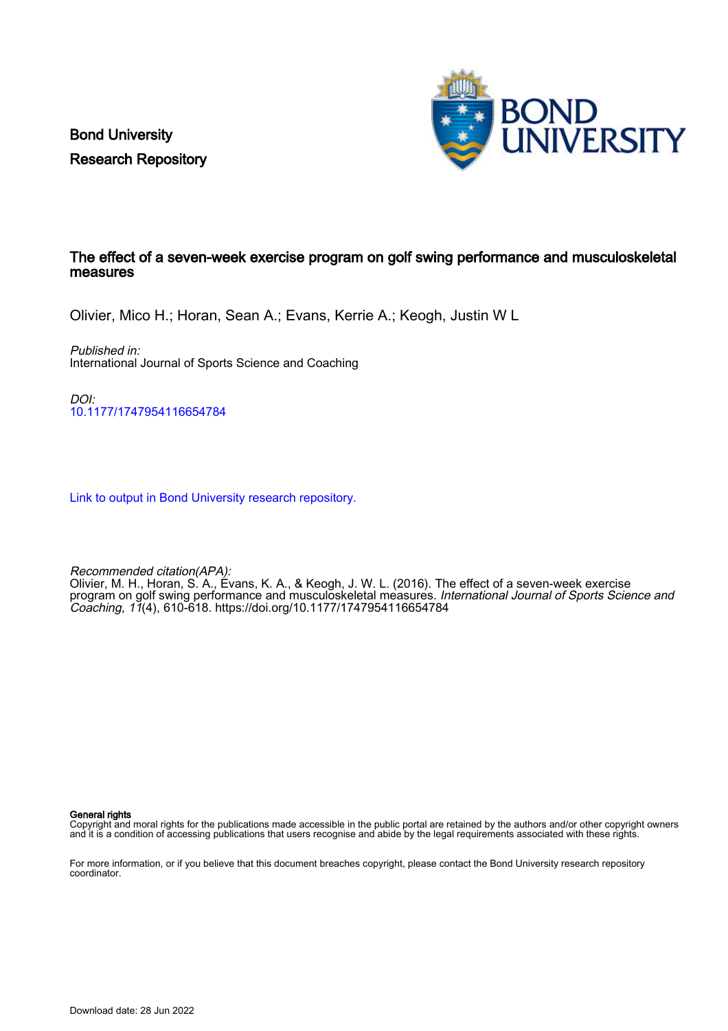Bond University Research Repository



### The effect of a seven-week exercise program on golf swing performance and musculoskeletal measures

Olivier, Mico H.; Horan, Sean A.; Evans, Kerrie A.; Keogh, Justin W L

Published in: International Journal of Sports Science and Coaching

DOI: [10.1177/1747954116654784](https://doi.org/10.1177/1747954116654784)

[Link to output in Bond University research repository.](https://research.bond.edu.au/en/publications/88eaf9dc-15d9-42c7-85e6-9344c330d2fc)

Recommended citation(APA):

Olivier, M. H., Horan, S. A., Evans, K. A., & Keogh, J. W. L. (2016). The effect of a seven-week exercise program on golf swing performance and musculoskeletal measures. International Journal of Sports Science and Coaching, 11(4), 610-618. <https://doi.org/10.1177/1747954116654784>

General rights

Copyright and moral rights for the publications made accessible in the public portal are retained by the authors and/or other copyright owners and it is a condition of accessing publications that users recognise and abide by the legal requirements associated with these rights.

For more information, or if you believe that this document breaches copyright, please contact the Bond University research repository coordinator.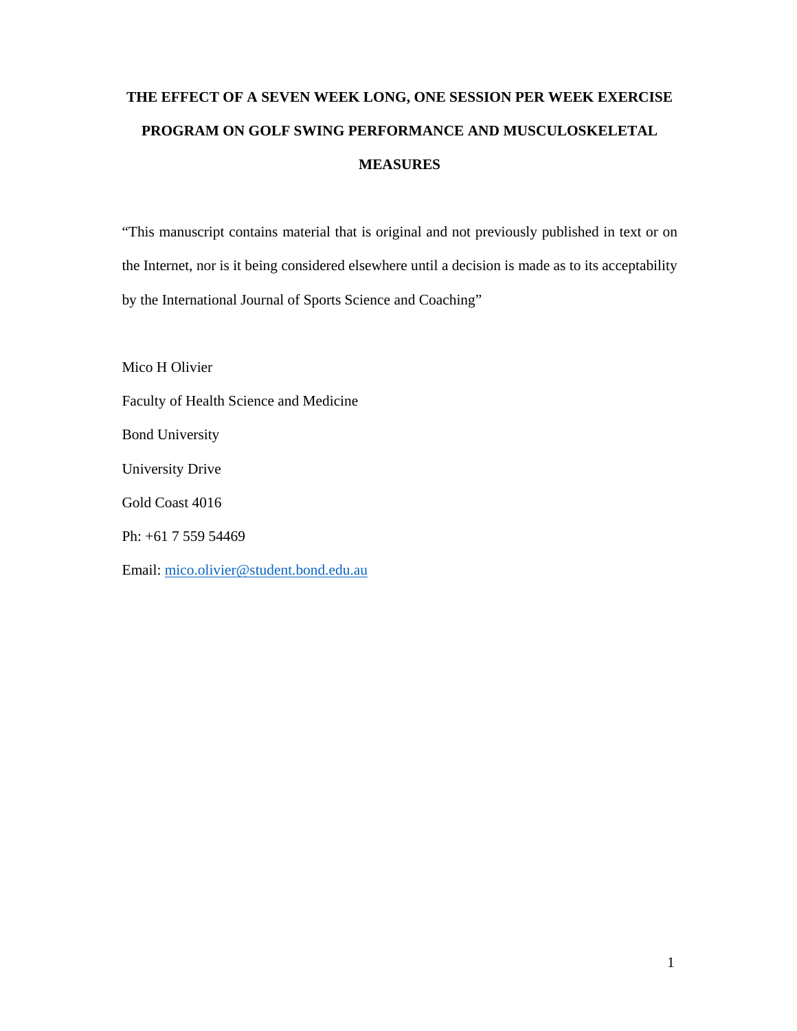# **THE EFFECT OF A SEVEN WEEK LONG, ONE SESSION PER WEEK EXERCISE PROGRAM ON GOLF SWING PERFORMANCE AND MUSCULOSKELETAL MEASURES**

"This manuscript contains material that is original and not previously published in text or on the Internet, nor is it being considered elsewhere until a decision is made as to its acceptability by the International Journal of Sports Science and Coaching"

Mico H Olivier Faculty of Health Science and Medicine Bond University University Drive Gold Coast 4016 Ph: +61 7 559 54469 Email: mico.olivier@student.bond.edu.au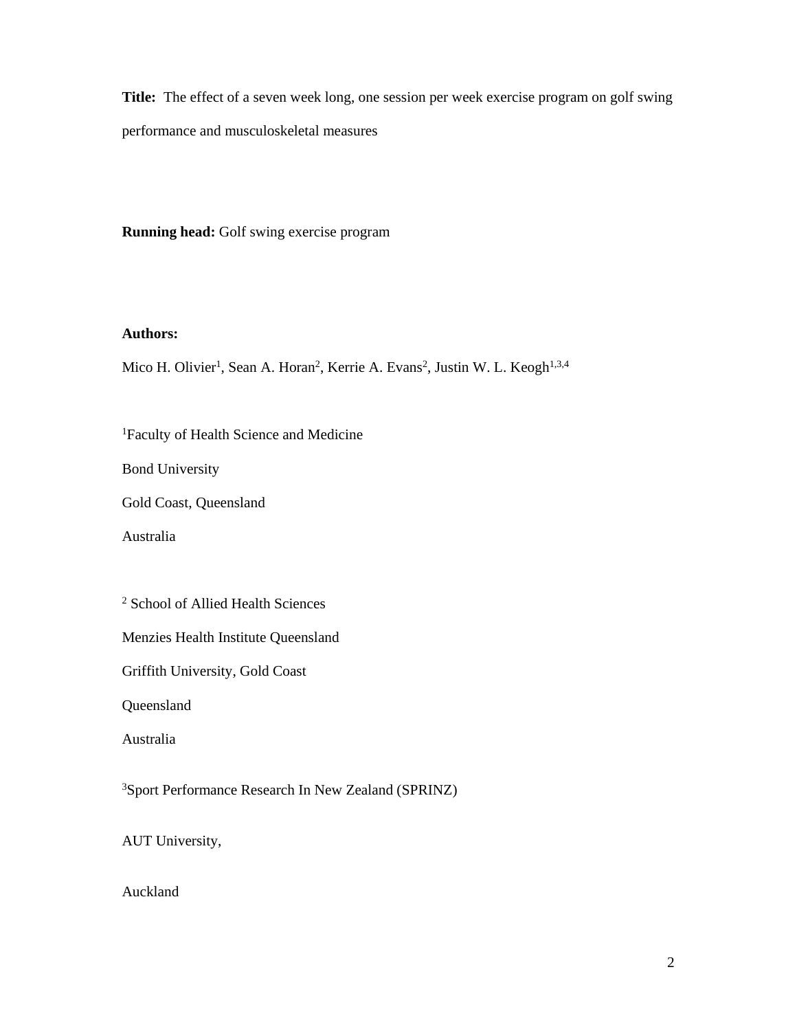**Title:** The effect of a seven week long, one session per week exercise program on golf swing performance and musculoskeletal measures

**Running head:** Golf swing exercise program

#### **Authors:**

Mico H. Olivier<sup>1</sup>, Sean A. Horan<sup>2</sup>, Kerrie A. Evans<sup>2</sup>, Justin W. L. Keogh<sup>1,3,4</sup>

1 Faculty of Health Science and Medicine

Bond University

Gold Coast, Queensland

Australia

2 School of Allied Health Sciences

Menzies Health Institute Queensland

Griffith University, Gold Coast

Queensland

Australia

3Sport Performance Research In New Zealand (SPRINZ)

AUT University,

Auckland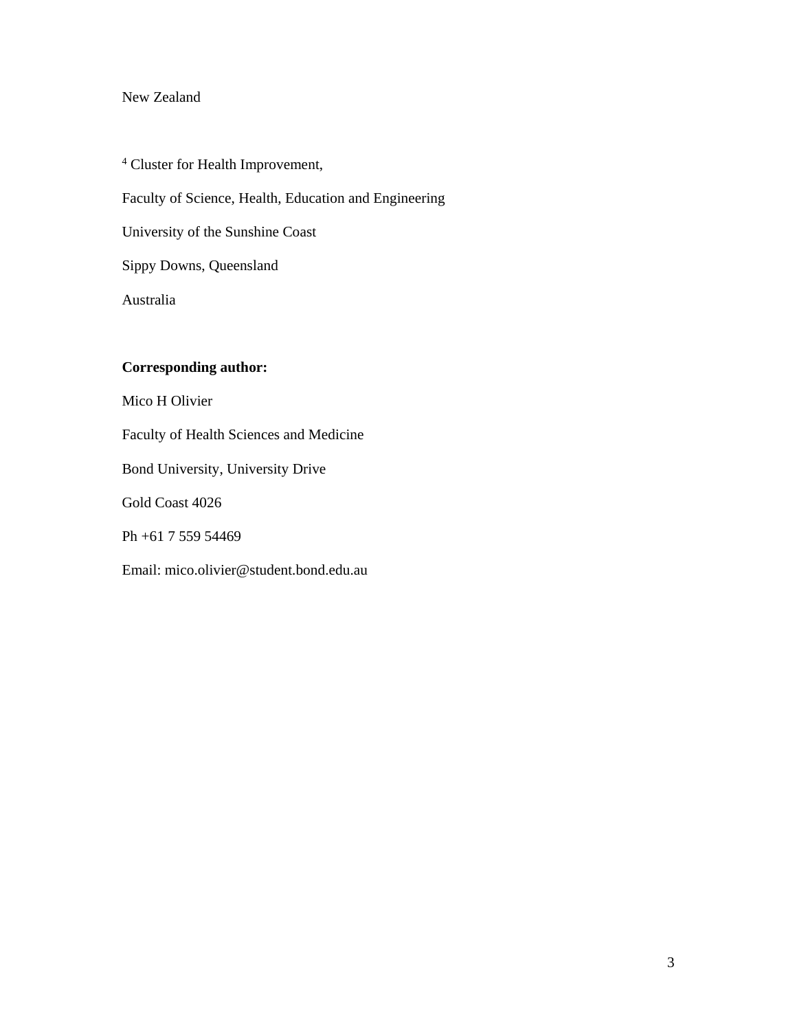# New Zealand

4 Cluster for Health Improvement, Faculty of Science, Health, Education and Engineering University of the Sunshine Coast Sippy Downs, Queensland Australia

# **Corresponding author:**

Mico H Olivier

Faculty of Health Sciences and Medicine

Bond University, University Drive

Gold Coast 4026

Ph +61 7 559 54469

Email: mico.olivier@student.bond.edu.au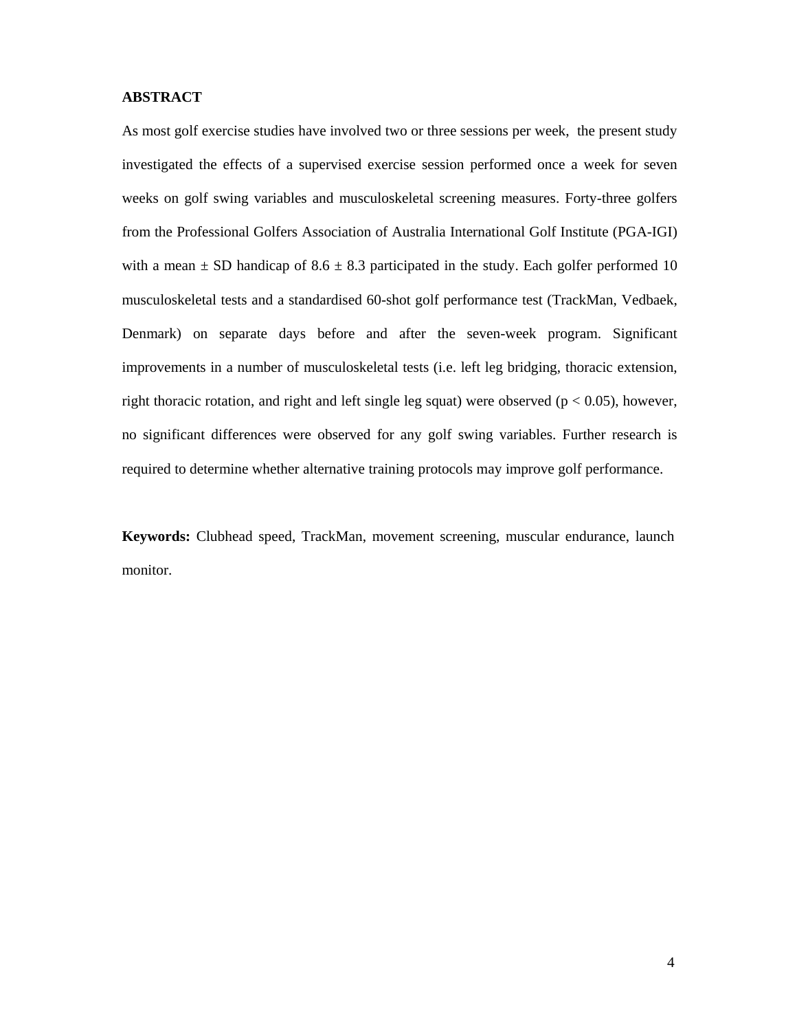#### **ABSTRACT**

As most golf exercise studies have involved two or three sessions per week, the present study investigated the effects of a supervised exercise session performed once a week for seven weeks on golf swing variables and musculoskeletal screening measures. Forty-three golfers from the Professional Golfers Association of Australia International Golf Institute (PGA-IGI) with a mean  $\pm$  SD handicap of 8.6  $\pm$  8.3 participated in the study. Each golfer performed 10 musculoskeletal tests and a standardised 60-shot golf performance test (TrackMan, Vedbaek, Denmark) on separate days before and after the seven-week program. Significant improvements in a number of musculoskeletal tests (i.e. left leg bridging, thoracic extension, right thoracic rotation, and right and left single leg squat) were observed ( $p < 0.05$ ), however, no significant differences were observed for any golf swing variables. Further research is required to determine whether alternative training protocols may improve golf performance.

**Keywords:** Clubhead speed, TrackMan, movement screening, muscular endurance, launch monitor.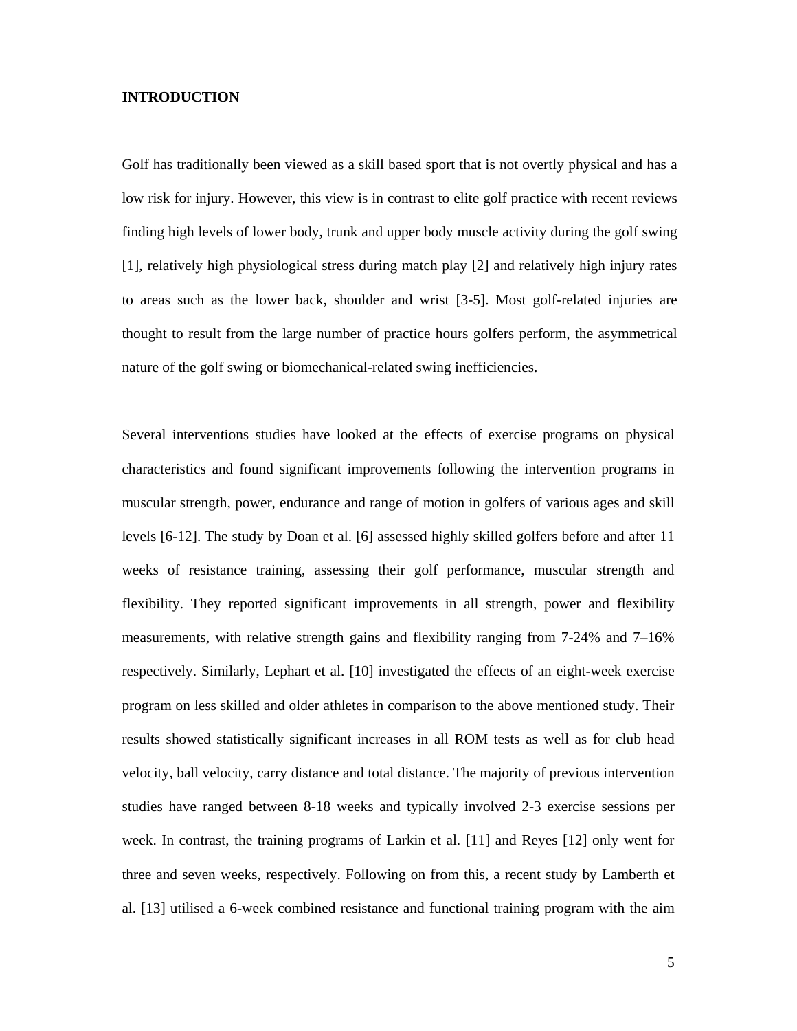#### **INTRODUCTION**

Golf has traditionally been viewed as a skill based sport that is not overtly physical and has a low risk for injury. However, this view is in contrast to elite golf practice with recent reviews finding high levels of lower body, trunk and upper body muscle activity during the golf swing [1], relatively high physiological stress during match play [2] and relatively high injury rates to areas such as the lower back, shoulder and wrist [3-5]. Most golf-related injuries are thought to result from the large number of practice hours golfers perform, the asymmetrical nature of the golf swing or biomechanical-related swing inefficiencies.

Several interventions studies have looked at the effects of exercise programs on physical characteristics and found significant improvements following the intervention programs in muscular strength, power, endurance and range of motion in golfers of various ages and skill levels [6-12]. The study by Doan et al. [6] assessed highly skilled golfers before and after 11 weeks of resistance training, assessing their golf performance, muscular strength and flexibility. They reported significant improvements in all strength, power and flexibility measurements, with relative strength gains and flexibility ranging from 7-24% and 7–16% respectively. Similarly, Lephart et al. [10] investigated the effects of an eight-week exercise program on less skilled and older athletes in comparison to the above mentioned study. Their results showed statistically significant increases in all ROM tests as well as for club head velocity, ball velocity, carry distance and total distance. The majority of previous intervention studies have ranged between 8-18 weeks and typically involved 2-3 exercise sessions per week. In contrast, the training programs of Larkin et al. [11] and Reyes [12] only went for three and seven weeks, respectively. Following on from this, a recent study by Lamberth et al. [13] utilised a 6-week combined resistance and functional training program with the aim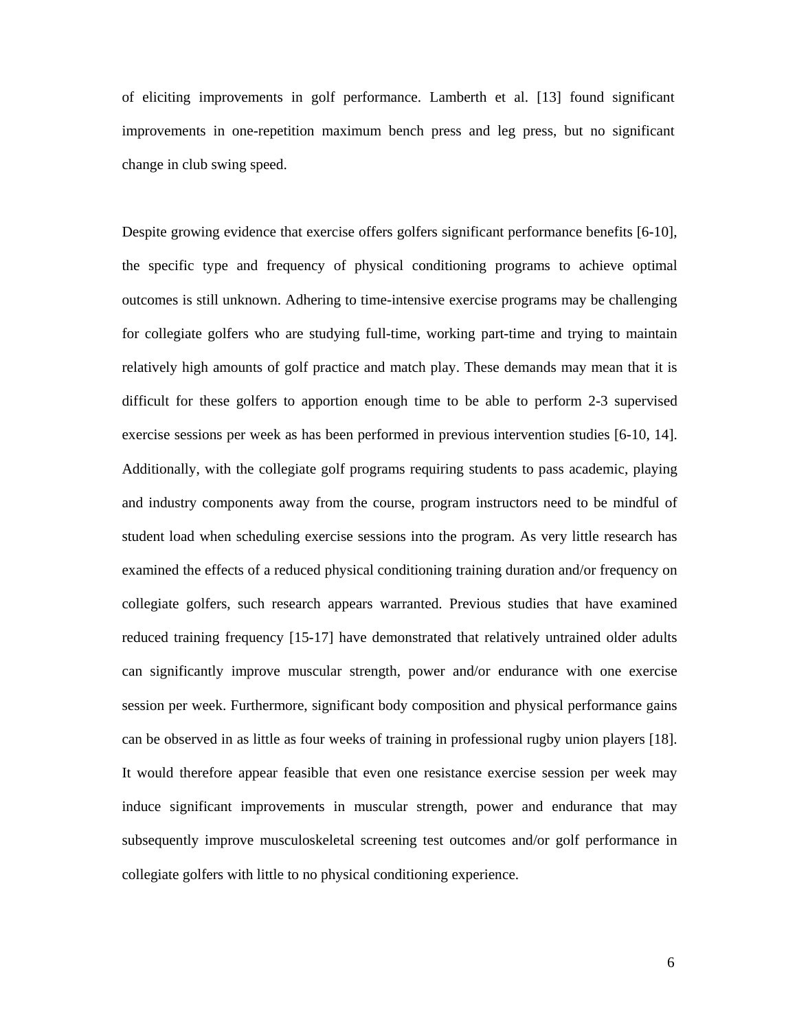of eliciting improvements in golf performance. Lamberth et al. [13] found significant improvements in one-repetition maximum bench press and leg press, but no significant change in club swing speed.

Despite growing evidence that exercise offers golfers significant performance benefits [6-10], the specific type and frequency of physical conditioning programs to achieve optimal outcomes is still unknown. Adhering to time-intensive exercise programs may be challenging for collegiate golfers who are studying full-time, working part-time and trying to maintain relatively high amounts of golf practice and match play. These demands may mean that it is difficult for these golfers to apportion enough time to be able to perform 2-3 supervised exercise sessions per week as has been performed in previous intervention studies [6-10, 14]. Additionally, with the collegiate golf programs requiring students to pass academic, playing and industry components away from the course, program instructors need to be mindful of student load when scheduling exercise sessions into the program. As very little research has examined the effects of a reduced physical conditioning training duration and/or frequency on collegiate golfers, such research appears warranted. Previous studies that have examined reduced training frequency [15-17] have demonstrated that relatively untrained older adults can significantly improve muscular strength, power and/or endurance with one exercise session per week. Furthermore, significant body composition and physical performance gains can be observed in as little as four weeks of training in professional rugby union players [18]. It would therefore appear feasible that even one resistance exercise session per week may induce significant improvements in muscular strength, power and endurance that may subsequently improve musculoskeletal screening test outcomes and/or golf performance in collegiate golfers with little to no physical conditioning experience.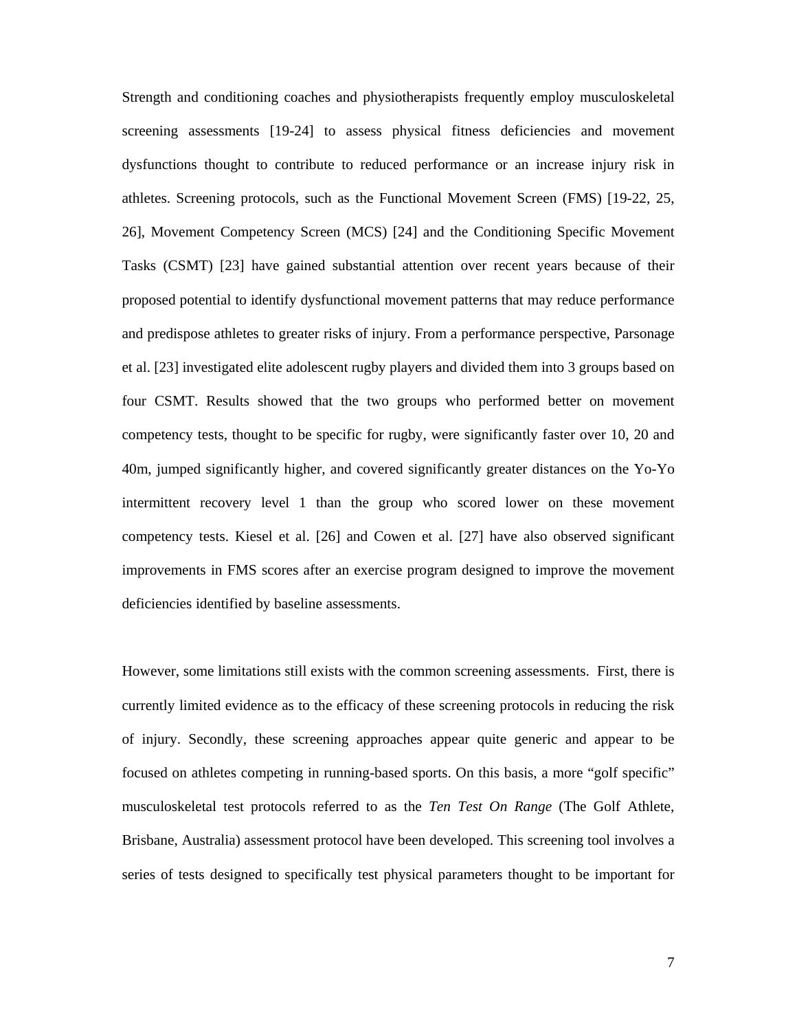Strength and conditioning coaches and physiotherapists frequently employ musculoskeletal screening assessments [19-24] to assess physical fitness deficiencies and movement dysfunctions thought to contribute to reduced performance or an increase injury risk in athletes. Screening protocols, such as the Functional Movement Screen (FMS) [19-22, 25, 26], Movement Competency Screen (MCS) [24] and the Conditioning Specific Movement Tasks (CSMT) [23] have gained substantial attention over recent years because of their proposed potential to identify dysfunctional movement patterns that may reduce performance and predispose athletes to greater risks of injury. From a performance perspective, Parsonage et al. [23] investigated elite adolescent rugby players and divided them into 3 groups based on four CSMT. Results showed that the two groups who performed better on movement competency tests, thought to be specific for rugby, were significantly faster over 10, 20 and 40m, jumped significantly higher, and covered significantly greater distances on the Yo-Yo intermittent recovery level 1 than the group who scored lower on these movement competency tests. Kiesel et al. [26] and Cowen et al. [27] have also observed significant improvements in FMS scores after an exercise program designed to improve the movement deficiencies identified by baseline assessments.

However, some limitations still exists with the common screening assessments. First, there is currently limited evidence as to the efficacy of these screening protocols in reducing the risk of injury. Secondly, these screening approaches appear quite generic and appear to be focused on athletes competing in running-based sports. On this basis, a more "golf specific" musculoskeletal test protocols referred to as the *Ten Test On Range* (The Golf Athlete, Brisbane, Australia) assessment protocol have been developed. This screening tool involves a series of tests designed to specifically test physical parameters thought to be important for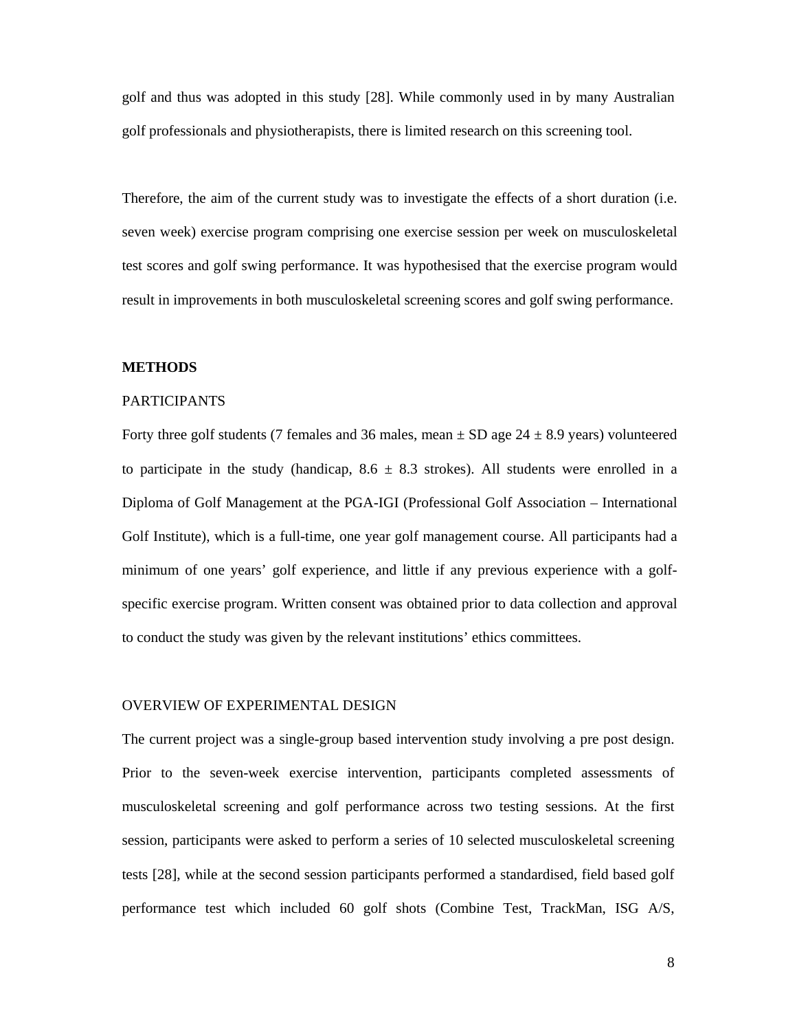golf and thus was adopted in this study [28]. While commonly used in by many Australian golf professionals and physiotherapists, there is limited research on this screening tool.

Therefore, the aim of the current study was to investigate the effects of a short duration (i.e. seven week) exercise program comprising one exercise session per week on musculoskeletal test scores and golf swing performance. It was hypothesised that the exercise program would result in improvements in both musculoskeletal screening scores and golf swing performance.

#### **METHODS**

#### PARTICIPANTS

Forty three golf students (7 females and 36 males, mean  $\pm$  SD age 24  $\pm$  8.9 years) volunteered to participate in the study (handicap,  $8.6 \pm 8.3$  strokes). All students were enrolled in a Diploma of Golf Management at the PGA-IGI (Professional Golf Association – International Golf Institute), which is a full-time, one year golf management course. All participants had a minimum of one years' golf experience, and little if any previous experience with a golfspecific exercise program. Written consent was obtained prior to data collection and approval to conduct the study was given by the relevant institutions' ethics committees.

#### OVERVIEW OF EXPERIMENTAL DESIGN

The current project was a single-group based intervention study involving a pre post design. Prior to the seven-week exercise intervention, participants completed assessments of musculoskeletal screening and golf performance across two testing sessions. At the first session, participants were asked to perform a series of 10 selected musculoskeletal screening tests [28], while at the second session participants performed a standardised, field based golf performance test which included 60 golf shots (Combine Test, TrackMan, ISG A/S,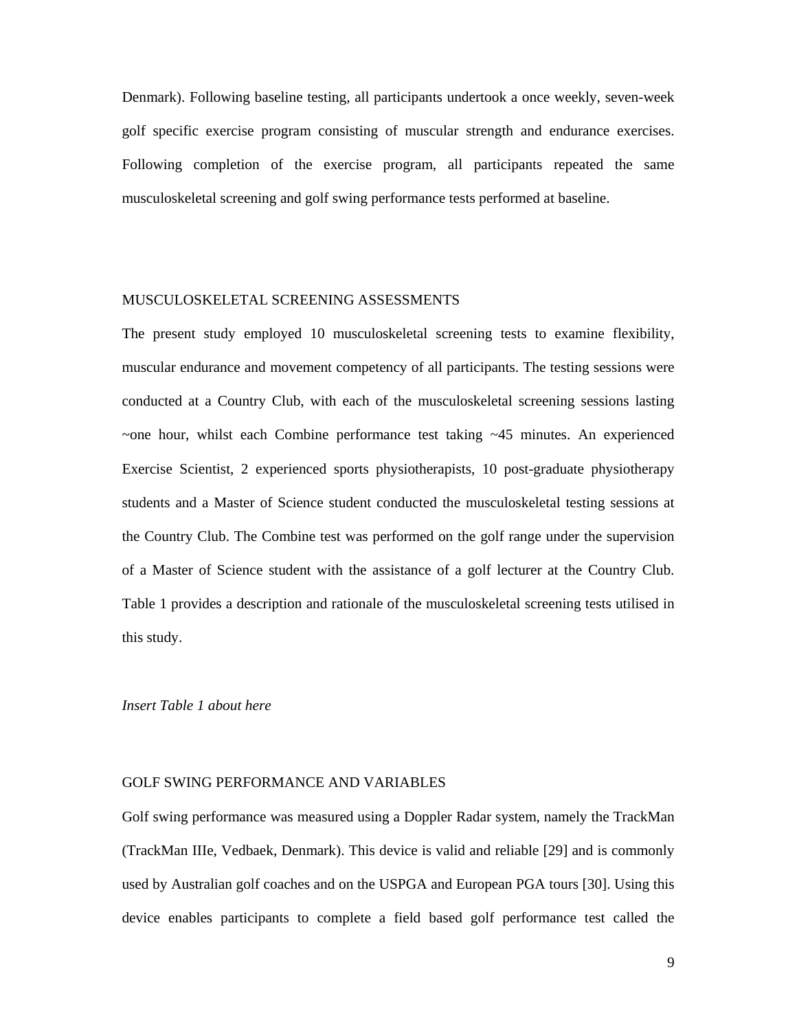Denmark). Following baseline testing, all participants undertook a once weekly, seven-week golf specific exercise program consisting of muscular strength and endurance exercises. Following completion of the exercise program, all participants repeated the same musculoskeletal screening and golf swing performance tests performed at baseline.

#### MUSCULOSKELETAL SCREENING ASSESSMENTS

The present study employed 10 musculoskeletal screening tests to examine flexibility, muscular endurance and movement competency of all participants. The testing sessions were conducted at a Country Club, with each of the musculoskeletal screening sessions lasting  $\sim$ one hour, whilst each Combine performance test taking  $\sim$ 45 minutes. An experienced Exercise Scientist, 2 experienced sports physiotherapists, 10 post-graduate physiotherapy students and a Master of Science student conducted the musculoskeletal testing sessions at the Country Club. The Combine test was performed on the golf range under the supervision of a Master of Science student with the assistance of a golf lecturer at the Country Club. Table 1 provides a description and rationale of the musculoskeletal screening tests utilised in this study.

#### *Insert Table 1 about here*

#### GOLF SWING PERFORMANCE AND VARIABLES

Golf swing performance was measured using a Doppler Radar system, namely the TrackMan (TrackMan IIIe, Vedbaek, Denmark). This device is valid and reliable [29] and is commonly used by Australian golf coaches and on the USPGA and European PGA tours [30]. Using this device enables participants to complete a field based golf performance test called the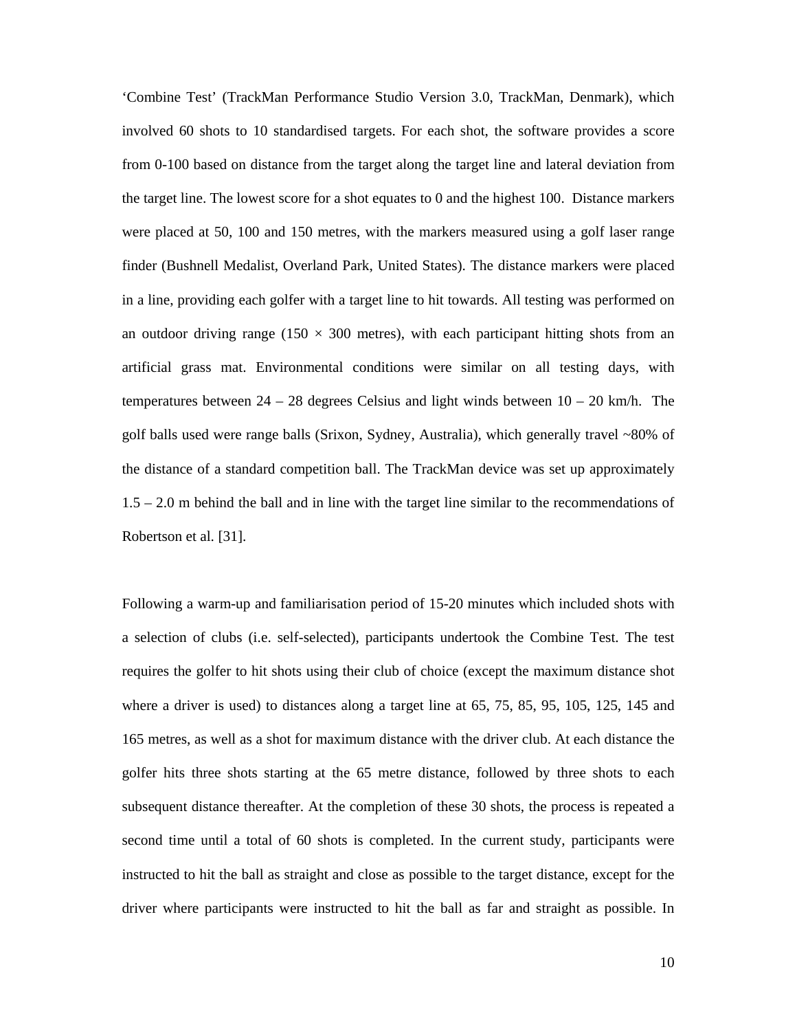'Combine Test' (TrackMan Performance Studio Version 3.0, TrackMan, Denmark), which involved 60 shots to 10 standardised targets. For each shot, the software provides a score from 0-100 based on distance from the target along the target line and lateral deviation from the target line. The lowest score for a shot equates to 0 and the highest 100. Distance markers were placed at 50, 100 and 150 metres, with the markers measured using a golf laser range finder (Bushnell Medalist, Overland Park, United States). The distance markers were placed in a line, providing each golfer with a target line to hit towards. All testing was performed on an outdoor driving range (150  $\times$  300 metres), with each participant hitting shots from an artificial grass mat. Environmental conditions were similar on all testing days, with temperatures between  $24 - 28$  degrees Celsius and light winds between  $10 - 20$  km/h. The golf balls used were range balls (Srixon, Sydney, Australia), which generally travel ~80% of the distance of a standard competition ball. The TrackMan device was set up approximately 1.5 – 2.0 m behind the ball and in line with the target line similar to the recommendations of Robertson et al. [31].

Following a warm-up and familiarisation period of 15-20 minutes which included shots with a selection of clubs (i.e. self-selected), participants undertook the Combine Test. The test requires the golfer to hit shots using their club of choice (except the maximum distance shot where a driver is used) to distances along a target line at 65, 75, 85, 95, 105, 125, 145 and 165 metres, as well as a shot for maximum distance with the driver club. At each distance the golfer hits three shots starting at the 65 metre distance, followed by three shots to each subsequent distance thereafter. At the completion of these 30 shots, the process is repeated a second time until a total of 60 shots is completed. In the current study, participants were instructed to hit the ball as straight and close as possible to the target distance, except for the driver where participants were instructed to hit the ball as far and straight as possible. In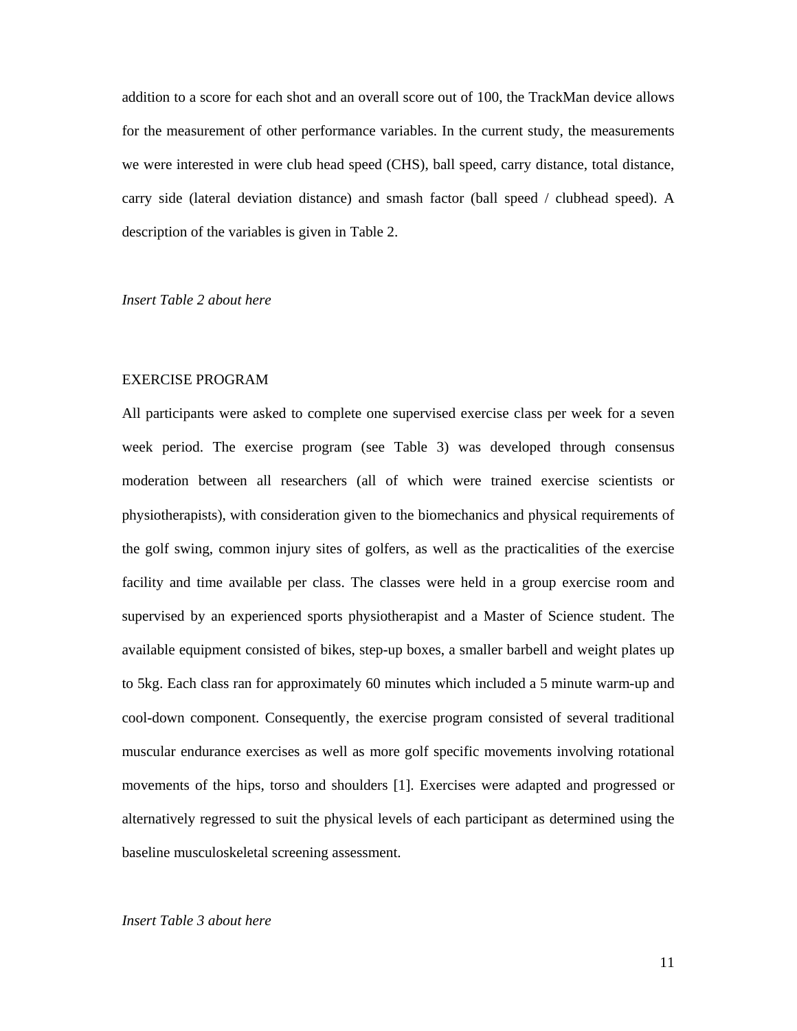addition to a score for each shot and an overall score out of 100, the TrackMan device allows for the measurement of other performance variables. In the current study, the measurements we were interested in were club head speed (CHS), ball speed, carry distance, total distance, carry side (lateral deviation distance) and smash factor (ball speed / clubhead speed). A description of the variables is given in Table 2.

#### *Insert Table 2 about here*

#### EXERCISE PROGRAM

All participants were asked to complete one supervised exercise class per week for a seven week period. The exercise program (see Table 3) was developed through consensus moderation between all researchers (all of which were trained exercise scientists or physiotherapists), with consideration given to the biomechanics and physical requirements of the golf swing, common injury sites of golfers, as well as the practicalities of the exercise facility and time available per class. The classes were held in a group exercise room and supervised by an experienced sports physiotherapist and a Master of Science student. The available equipment consisted of bikes, step-up boxes, a smaller barbell and weight plates up to 5kg. Each class ran for approximately 60 minutes which included a 5 minute warm-up and cool-down component. Consequently, the exercise program consisted of several traditional muscular endurance exercises as well as more golf specific movements involving rotational movements of the hips, torso and shoulders [1]. Exercises were adapted and progressed or alternatively regressed to suit the physical levels of each participant as determined using the baseline musculoskeletal screening assessment.

#### *Insert Table 3 about here*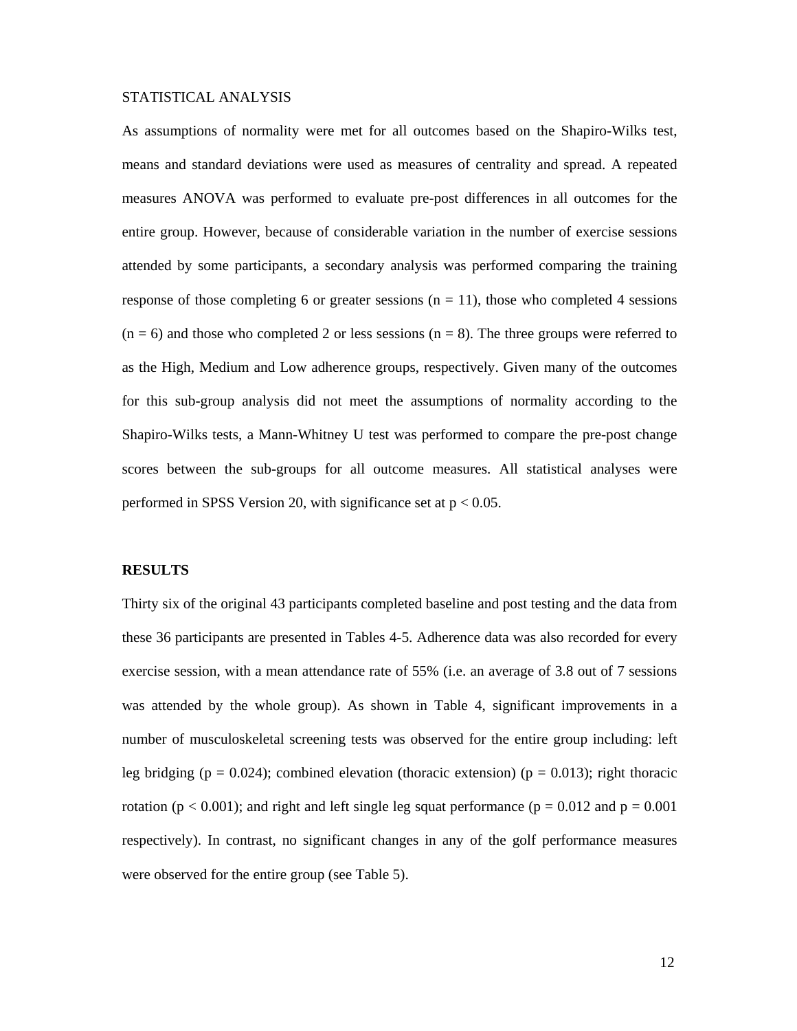#### STATISTICAL ANALYSIS

As assumptions of normality were met for all outcomes based on the Shapiro-Wilks test, means and standard deviations were used as measures of centrality and spread. A repeated measures ANOVA was performed to evaluate pre-post differences in all outcomes for the entire group. However, because of considerable variation in the number of exercise sessions attended by some participants, a secondary analysis was performed comparing the training response of those completing 6 or greater sessions  $(n = 11)$ , those who completed 4 sessions  $(n = 6)$  and those who completed 2 or less sessions  $(n = 8)$ . The three groups were referred to as the High, Medium and Low adherence groups, respectively. Given many of the outcomes for this sub-group analysis did not meet the assumptions of normality according to the Shapiro-Wilks tests, a Mann-Whitney U test was performed to compare the pre-post change scores between the sub-groups for all outcome measures. All statistical analyses were performed in SPSS Version 20, with significance set at  $p < 0.05$ .

#### **RESULTS**

Thirty six of the original 43 participants completed baseline and post testing and the data from these 36 participants are presented in Tables 4-5. Adherence data was also recorded for every exercise session, with a mean attendance rate of 55% (i.e. an average of 3.8 out of 7 sessions was attended by the whole group). As shown in Table 4, significant improvements in a number of musculoskeletal screening tests was observed for the entire group including: left leg bridging ( $p = 0.024$ ); combined elevation (thoracic extension) ( $p = 0.013$ ); right thoracic rotation ( $p < 0.001$ ); and right and left single leg squat performance ( $p = 0.012$  and  $p = 0.001$ ) respectively). In contrast, no significant changes in any of the golf performance measures were observed for the entire group (see Table 5).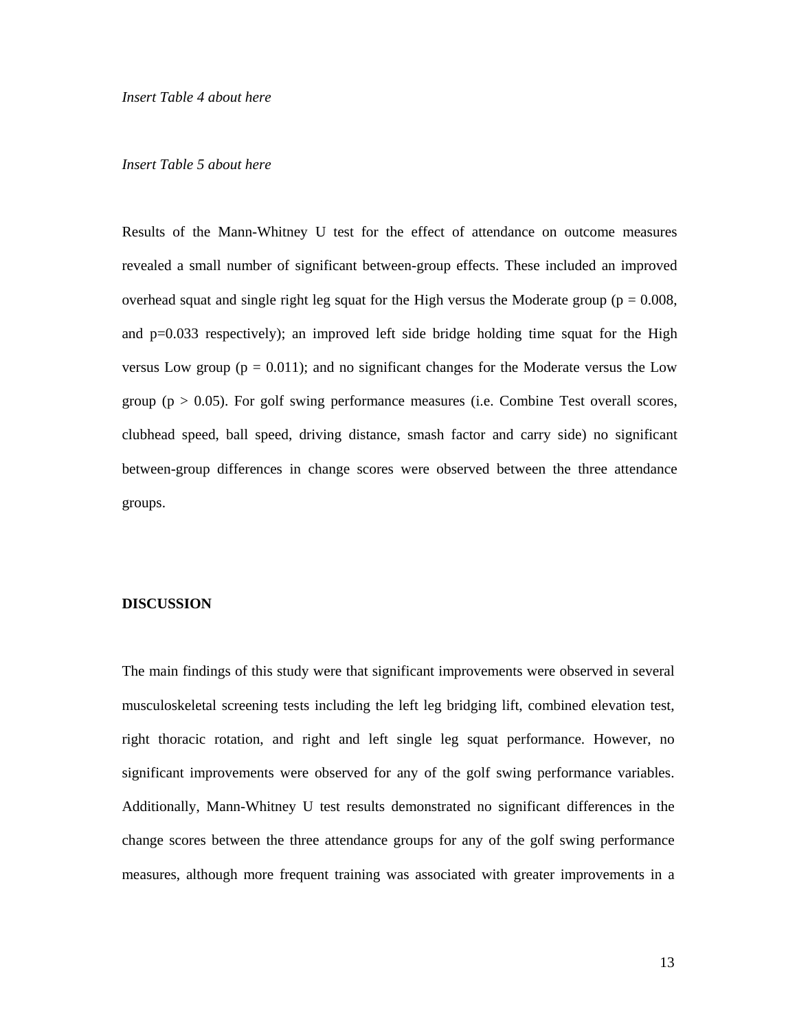#### *Insert Table 5 about here*

Results of the Mann-Whitney U test for the effect of attendance on outcome measures revealed a small number of significant between-group effects. These included an improved overhead squat and single right leg squat for the High versus the Moderate group ( $p = 0.008$ , and  $p=0.033$  respectively); an improved left side bridge holding time squat for the High versus Low group ( $p = 0.011$ ); and no significant changes for the Moderate versus the Low group ( $p > 0.05$ ). For golf swing performance measures (i.e. Combine Test overall scores, clubhead speed, ball speed, driving distance, smash factor and carry side) no significant between-group differences in change scores were observed between the three attendance groups.

#### **DISCUSSION**

The main findings of this study were that significant improvements were observed in several musculoskeletal screening tests including the left leg bridging lift, combined elevation test, right thoracic rotation, and right and left single leg squat performance. However, no significant improvements were observed for any of the golf swing performance variables. Additionally, Mann-Whitney U test results demonstrated no significant differences in the change scores between the three attendance groups for any of the golf swing performance measures, although more frequent training was associated with greater improvements in a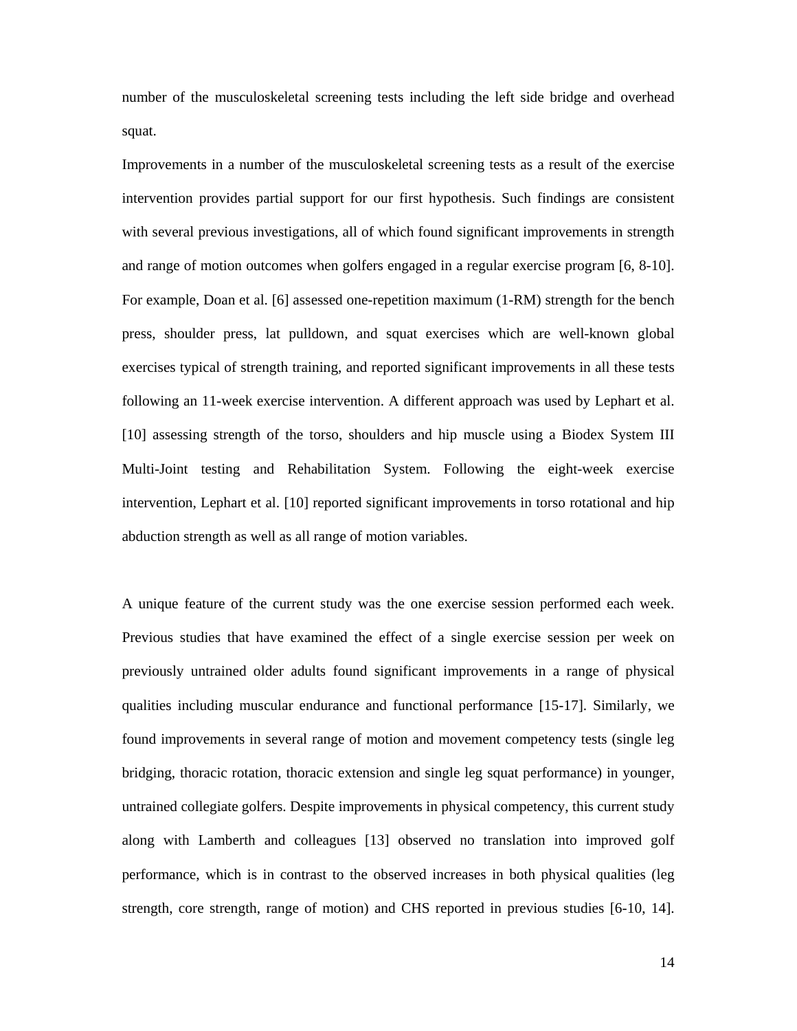number of the musculoskeletal screening tests including the left side bridge and overhead squat.

Improvements in a number of the musculoskeletal screening tests as a result of the exercise intervention provides partial support for our first hypothesis. Such findings are consistent with several previous investigations, all of which found significant improvements in strength and range of motion outcomes when golfers engaged in a regular exercise program [6, 8-10]. For example, Doan et al. [6] assessed one-repetition maximum (1-RM) strength for the bench press, shoulder press, lat pulldown, and squat exercises which are well-known global exercises typical of strength training, and reported significant improvements in all these tests following an 11-week exercise intervention. A different approach was used by Lephart et al. [10] assessing strength of the torso, shoulders and hip muscle using a Biodex System III Multi-Joint testing and Rehabilitation System. Following the eight-week exercise intervention, Lephart et al. [10] reported significant improvements in torso rotational and hip abduction strength as well as all range of motion variables.

A unique feature of the current study was the one exercise session performed each week. Previous studies that have examined the effect of a single exercise session per week on previously untrained older adults found significant improvements in a range of physical qualities including muscular endurance and functional performance [15-17]. Similarly, we found improvements in several range of motion and movement competency tests (single leg bridging, thoracic rotation, thoracic extension and single leg squat performance) in younger, untrained collegiate golfers. Despite improvements in physical competency, this current study along with Lamberth and colleagues [13] observed no translation into improved golf performance, which is in contrast to the observed increases in both physical qualities (leg strength, core strength, range of motion) and CHS reported in previous studies [6-10, 14].

14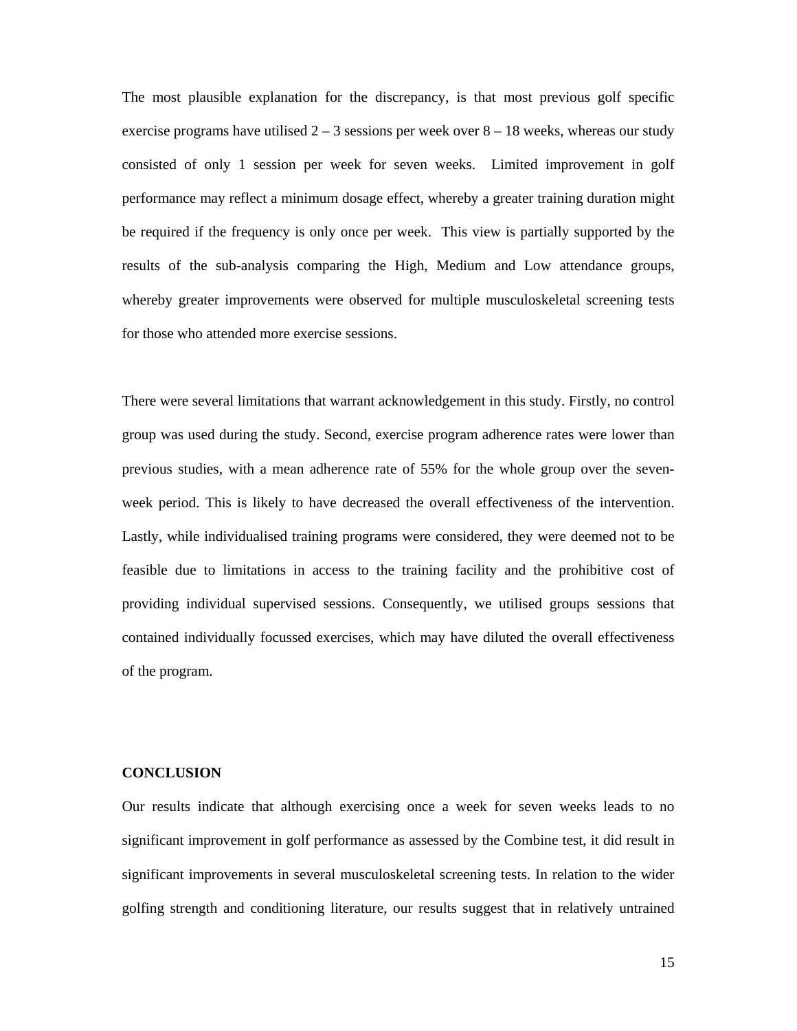The most plausible explanation for the discrepancy, is that most previous golf specific exercise programs have utilised  $2 - 3$  sessions per week over  $8 - 18$  weeks, whereas our study consisted of only 1 session per week for seven weeks. Limited improvement in golf performance may reflect a minimum dosage effect, whereby a greater training duration might be required if the frequency is only once per week. This view is partially supported by the results of the sub-analysis comparing the High, Medium and Low attendance groups, whereby greater improvements were observed for multiple musculoskeletal screening tests for those who attended more exercise sessions.

There were several limitations that warrant acknowledgement in this study. Firstly, no control group was used during the study. Second, exercise program adherence rates were lower than previous studies, with a mean adherence rate of 55% for the whole group over the sevenweek period. This is likely to have decreased the overall effectiveness of the intervention. Lastly, while individualised training programs were considered, they were deemed not to be feasible due to limitations in access to the training facility and the prohibitive cost of providing individual supervised sessions. Consequently, we utilised groups sessions that contained individually focussed exercises, which may have diluted the overall effectiveness of the program.

#### **CONCLUSION**

Our results indicate that although exercising once a week for seven weeks leads to no significant improvement in golf performance as assessed by the Combine test, it did result in significant improvements in several musculoskeletal screening tests. In relation to the wider golfing strength and conditioning literature, our results suggest that in relatively untrained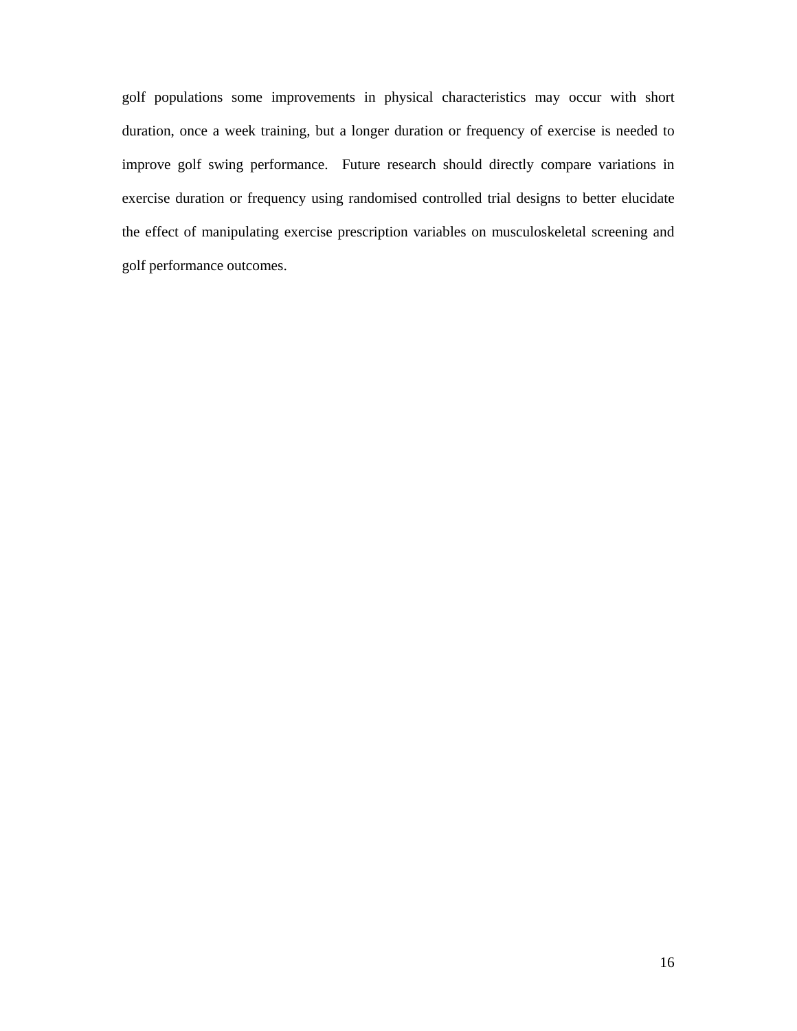golf populations some improvements in physical characteristics may occur with short duration, once a week training, but a longer duration or frequency of exercise is needed to improve golf swing performance. Future research should directly compare variations in exercise duration or frequency using randomised controlled trial designs to better elucidate the effect of manipulating exercise prescription variables on musculoskeletal screening and golf performance outcomes.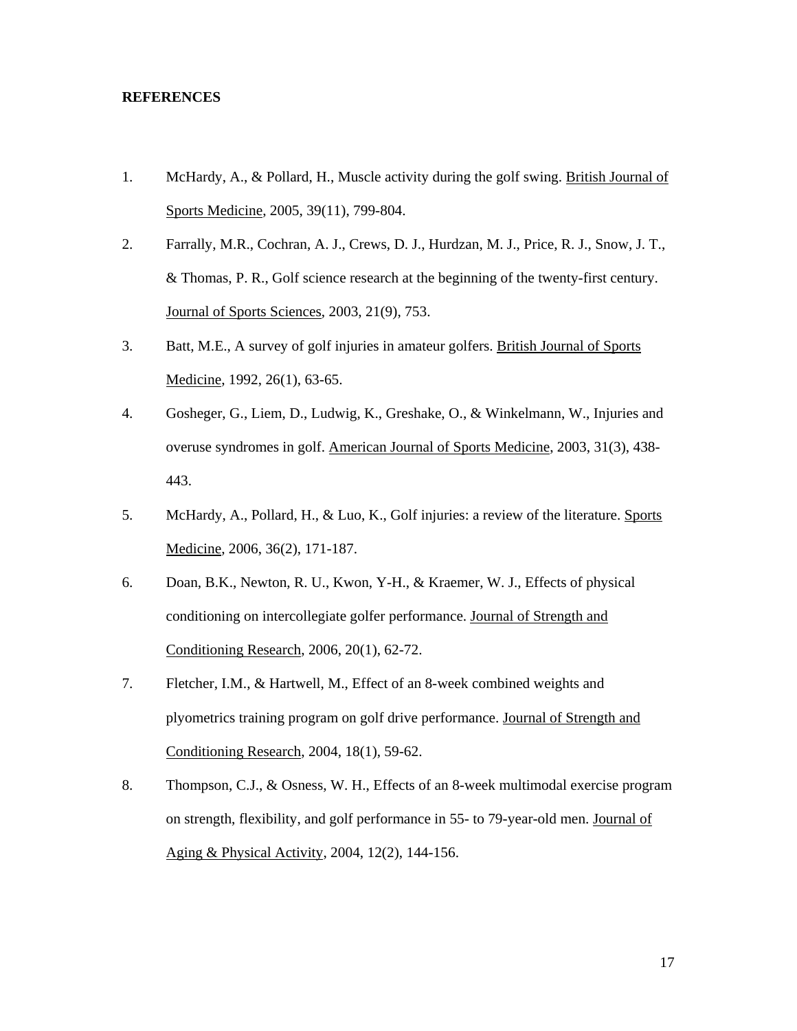#### **REFERENCES**

- 1. McHardy, A., & Pollard, H., Muscle activity during the golf swing. British Journal of Sports Medicine, 2005, 39(11), 799-804.
- 2. Farrally, M.R., Cochran, A. J., Crews, D. J., Hurdzan, M. J., Price, R. J., Snow, J. T., & Thomas, P. R., Golf science research at the beginning of the twenty-first century. Journal of Sports Sciences, 2003, 21(9), 753.
- 3. Batt, M.E., A survey of golf injuries in amateur golfers. British Journal of Sports Medicine, 1992, 26(1), 63-65.
- 4. Gosheger, G., Liem, D., Ludwig, K., Greshake, O., & Winkelmann, W., Injuries and overuse syndromes in golf. American Journal of Sports Medicine, 2003, 31(3), 438- 443.
- 5. McHardy, A., Pollard, H., & Luo, K., Golf injuries: a review of the literature. Sports Medicine, 2006, 36(2), 171-187.
- 6. Doan, B.K., Newton, R. U., Kwon, Y-H., & Kraemer, W. J., Effects of physical conditioning on intercollegiate golfer performance. Journal of Strength and Conditioning Research, 2006, 20(1), 62-72.
- 7. Fletcher, I.M., & Hartwell, M., Effect of an 8-week combined weights and plyometrics training program on golf drive performance. Journal of Strength and Conditioning Research, 2004, 18(1), 59-62.
- 8. Thompson, C.J., & Osness, W. H., Effects of an 8-week multimodal exercise program on strength, flexibility, and golf performance in 55- to 79-year-old men. Journal of Aging & Physical Activity, 2004, 12(2), 144-156.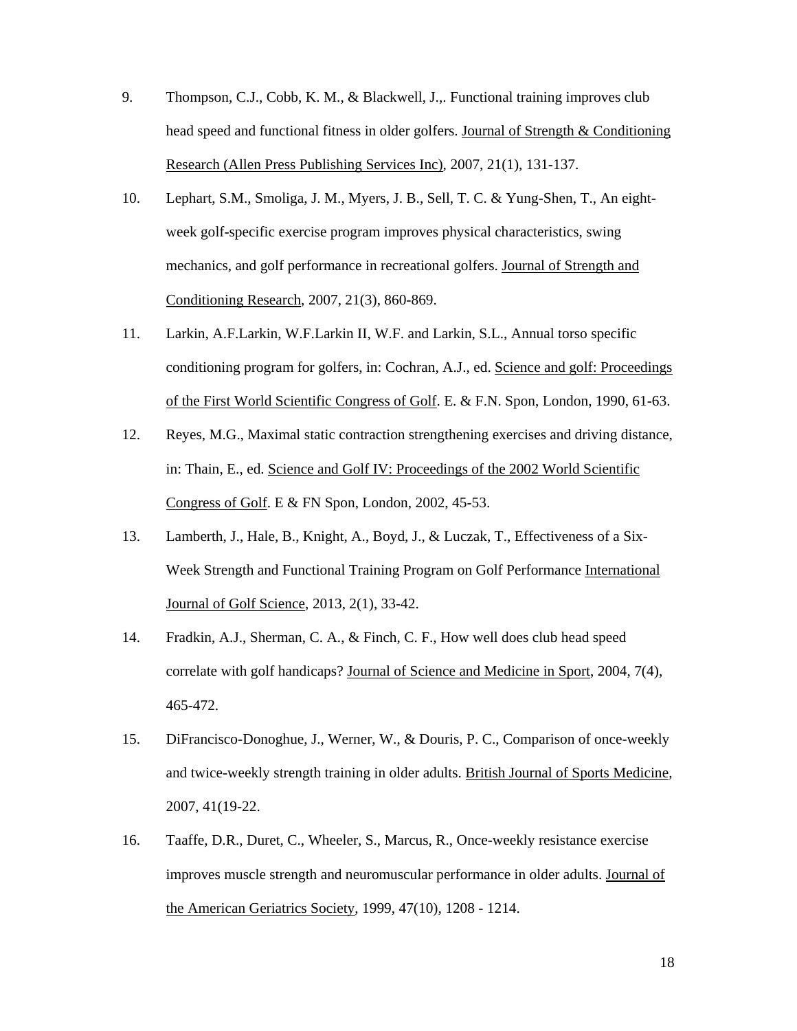- 9. Thompson, C.J., Cobb, K. M., & Blackwell, J.,. Functional training improves club head speed and functional fitness in older golfers. Journal of Strength & Conditioning Research (Allen Press Publishing Services Inc), 2007, 21(1), 131-137.
- 10. Lephart, S.M., Smoliga, J. M., Myers, J. B., Sell, T. C. & Yung-Shen, T., An eightweek golf-specific exercise program improves physical characteristics, swing mechanics, and golf performance in recreational golfers. Journal of Strength and Conditioning Research, 2007, 21(3), 860-869.
- 11. Larkin, A.F.Larkin, W.F.Larkin II, W.F. and Larkin, S.L., Annual torso specific conditioning program for golfers, in: Cochran, A.J., ed. Science and golf: Proceedings of the First World Scientific Congress of Golf. E. & F.N. Spon, London, 1990, 61-63.
- 12. Reyes, M.G., Maximal static contraction strengthening exercises and driving distance, in: Thain, E., ed. Science and Golf IV: Proceedings of the 2002 World Scientific Congress of Golf. E & FN Spon, London, 2002, 45-53.
- 13. Lamberth, J., Hale, B., Knight, A., Boyd, J., & Luczak, T., Effectiveness of a Six-Week Strength and Functional Training Program on Golf Performance International Journal of Golf Science, 2013, 2(1), 33-42.
- 14. Fradkin, A.J., Sherman, C. A., & Finch, C. F., How well does club head speed correlate with golf handicaps? Journal of Science and Medicine in Sport, 2004, 7(4), 465-472.
- 15. DiFrancisco-Donoghue, J., Werner, W., & Douris, P. C., Comparison of once-weekly and twice-weekly strength training in older adults. British Journal of Sports Medicine, 2007, 41(19-22.
- 16. Taaffe, D.R., Duret, C., Wheeler, S., Marcus, R., Once-weekly resistance exercise improves muscle strength and neuromuscular performance in older adults. Journal of the American Geriatrics Society, 1999, 47(10), 1208 - 1214.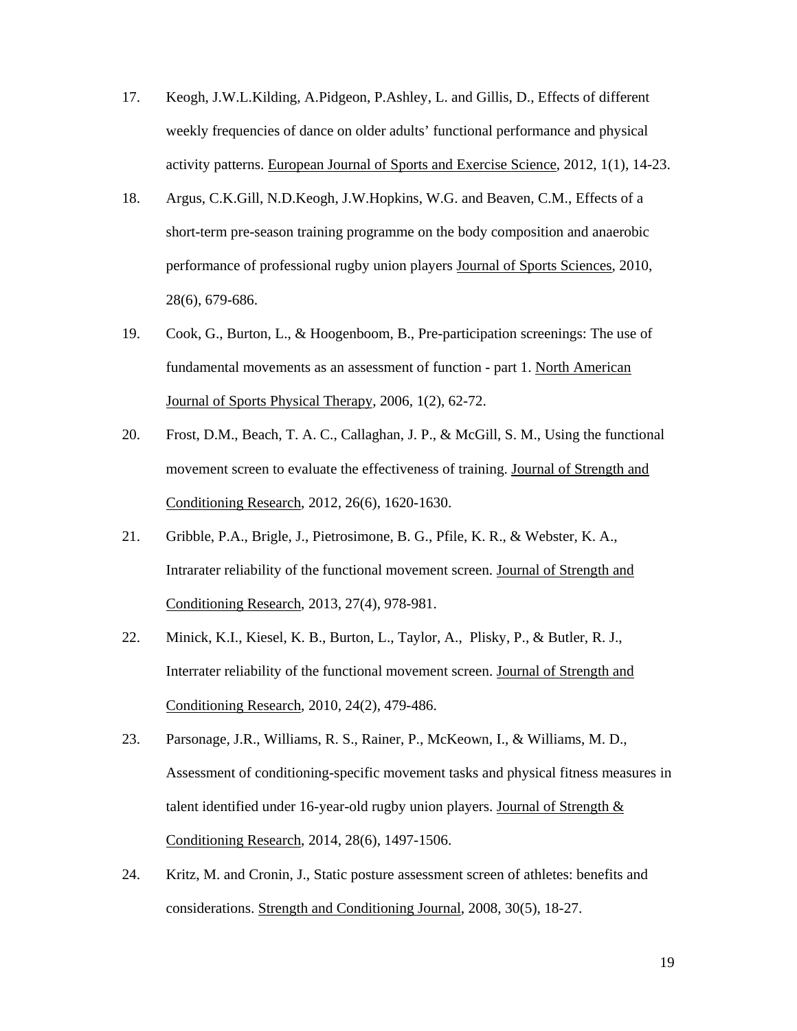- 17. Keogh, J.W.L.Kilding, A.Pidgeon, P.Ashley, L. and Gillis, D., Effects of different weekly frequencies of dance on older adults' functional performance and physical activity patterns. European Journal of Sports and Exercise Science, 2012, 1(1), 14-23.
- 18. Argus, C.K.Gill, N.D.Keogh, J.W.Hopkins, W.G. and Beaven, C.M., Effects of a short-term pre-season training programme on the body composition and anaerobic performance of professional rugby union players Journal of Sports Sciences, 2010, 28(6), 679-686.
- 19. Cook, G., Burton, L., & Hoogenboom, B., Pre-participation screenings: The use of fundamental movements as an assessment of function - part 1. North American Journal of Sports Physical Therapy, 2006, 1(2), 62-72.
- 20. Frost, D.M., Beach, T. A. C., Callaghan, J. P., & McGill, S. M., Using the functional movement screen to evaluate the effectiveness of training. Journal of Strength and Conditioning Research, 2012, 26(6), 1620-1630.
- 21. Gribble, P.A., Brigle, J., Pietrosimone, B. G., Pfile, K. R., & Webster, K. A., Intrarater reliability of the functional movement screen. Journal of Strength and Conditioning Research, 2013, 27(4), 978-981.
- 22. Minick, K.I., Kiesel, K. B., Burton, L., Taylor, A., Plisky, P., & Butler, R. J., Interrater reliability of the functional movement screen. Journal of Strength and Conditioning Research, 2010, 24(2), 479-486.
- 23. Parsonage, J.R., Williams, R. S., Rainer, P., McKeown, I., & Williams, M. D., Assessment of conditioning-specific movement tasks and physical fitness measures in talent identified under 16-year-old rugby union players. Journal of Strength  $\&$ Conditioning Research, 2014, 28(6), 1497-1506.
- 24. Kritz, M. and Cronin, J., Static posture assessment screen of athletes: benefits and considerations. Strength and Conditioning Journal, 2008, 30(5), 18-27.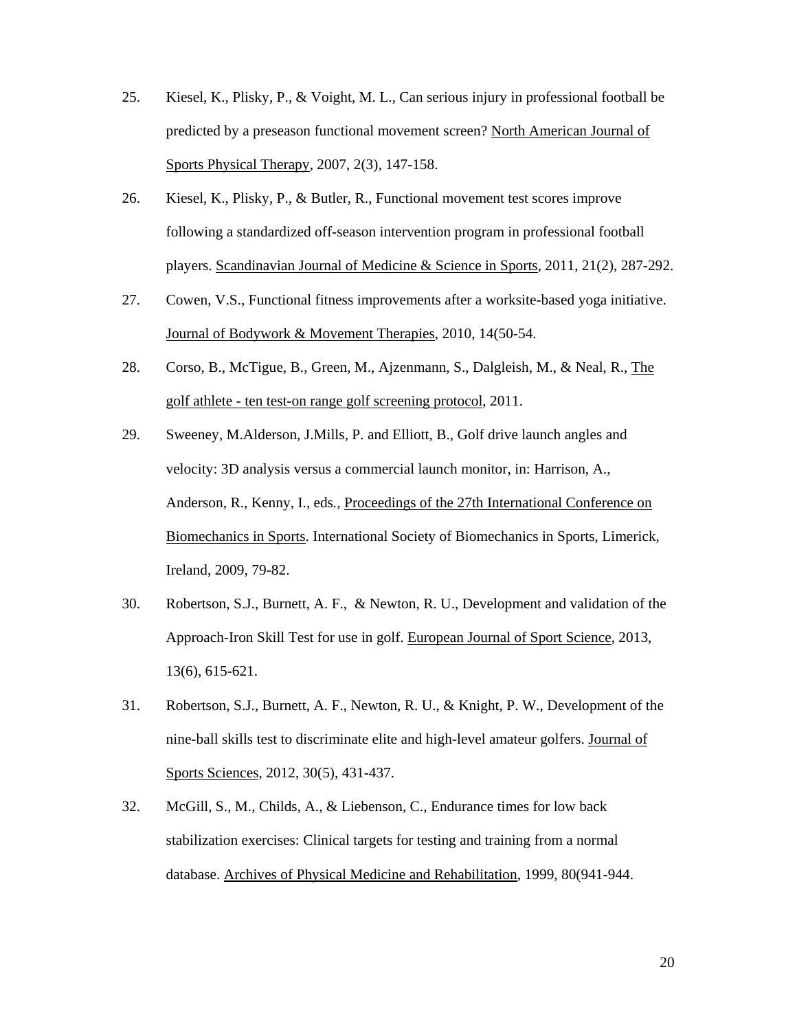- 25. Kiesel, K., Plisky, P., & Voight, M. L., Can serious injury in professional football be predicted by a preseason functional movement screen? North American Journal of Sports Physical Therapy, 2007, 2(3), 147-158.
- 26. Kiesel, K., Plisky, P., & Butler, R., Functional movement test scores improve following a standardized off-season intervention program in professional football players. Scandinavian Journal of Medicine & Science in Sports, 2011, 21(2), 287-292.
- 27. Cowen, V.S., Functional fitness improvements after a worksite-based yoga initiative. Journal of Bodywork & Movement Therapies, 2010, 14(50-54.
- 28. Corso, B., McTigue, B., Green, M., Ajzenmann, S., Dalgleish, M., & Neal, R., The golf athlete - ten test-on range golf screening protocol, 2011.
- 29. Sweeney, M.Alderson, J.Mills, P. and Elliott, B., Golf drive launch angles and velocity: 3D analysis versus a commercial launch monitor, in: Harrison, A., Anderson, R., Kenny, I., eds*.,* Proceedings of the 27th International Conference on Biomechanics in Sports. International Society of Biomechanics in Sports, Limerick, Ireland, 2009, 79-82.
- 30. Robertson, S.J., Burnett, A. F., & Newton, R. U., Development and validation of the Approach-Iron Skill Test for use in golf. European Journal of Sport Science, 2013, 13(6), 615-621.
- 31. Robertson, S.J., Burnett, A. F., Newton, R. U., & Knight, P. W., Development of the nine-ball skills test to discriminate elite and high-level amateur golfers. Journal of Sports Sciences, 2012, 30(5), 431-437.
- 32. McGill, S., M., Childs, A., & Liebenson, C., Endurance times for low back stabilization exercises: Clinical targets for testing and training from a normal database. Archives of Physical Medicine and Rehabilitation, 1999, 80(941-944.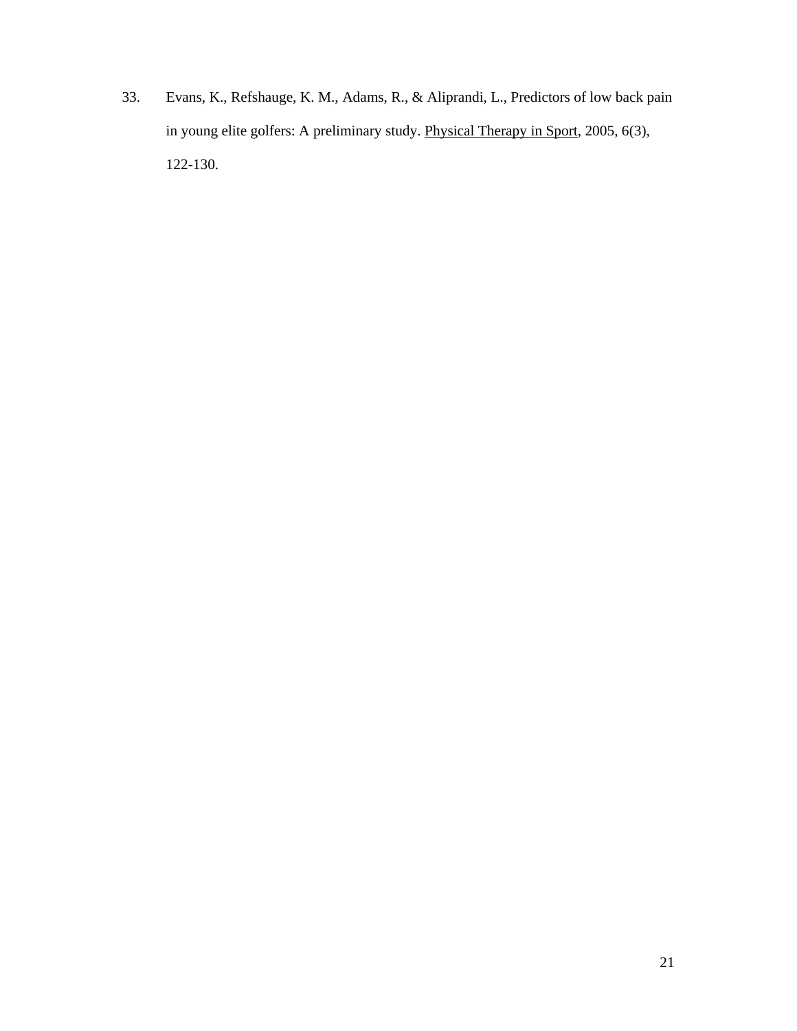33. Evans, K., Refshauge, K. M., Adams, R., & Aliprandi, L., Predictors of low back pain in young elite golfers: A preliminary study. Physical Therapy in Sport, 2005, 6(3), 122-130.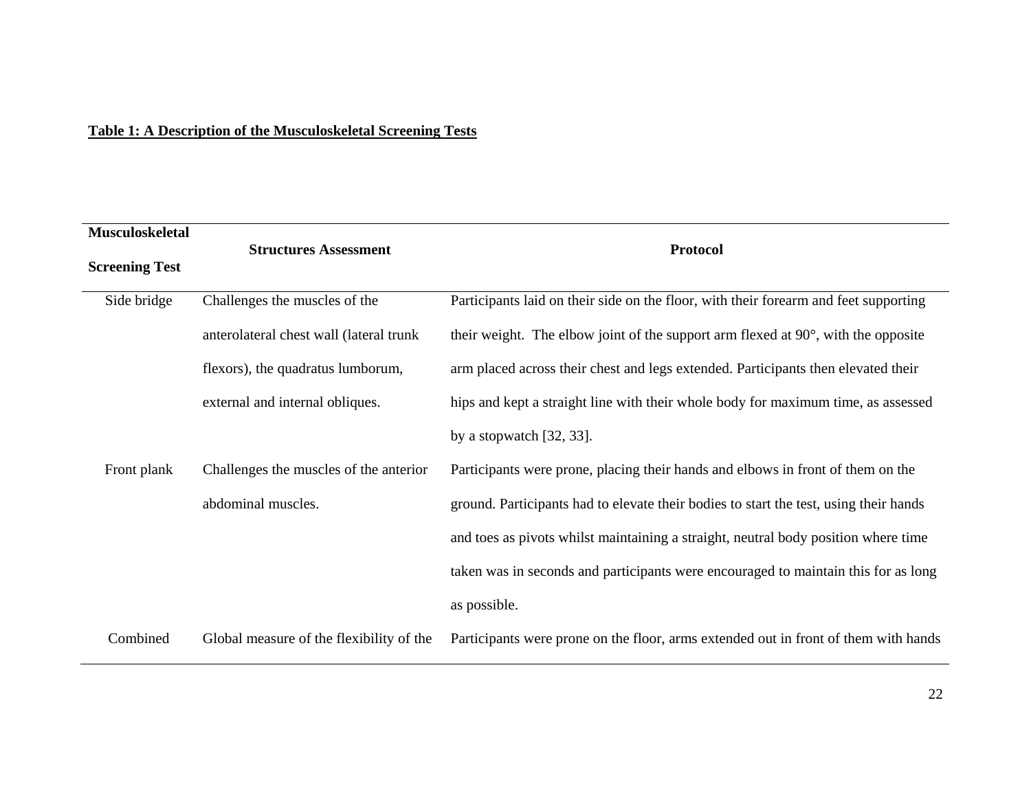# **Table 1: A Description of the Musculoskeletal Screening Tests**

| Musculoskeletal       |                                          |                                                                                           |
|-----------------------|------------------------------------------|-------------------------------------------------------------------------------------------|
| <b>Screening Test</b> | <b>Structures Assessment</b>             | <b>Protocol</b>                                                                           |
| Side bridge           | Challenges the muscles of the            | Participants laid on their side on the floor, with their forearm and feet supporting      |
|                       | anterolateral chest wall (lateral trunk  | their weight. The elbow joint of the support arm flexed at $90^\circ$ , with the opposite |
|                       | flexors), the quadratus lumborum,        | arm placed across their chest and legs extended. Participants then elevated their         |
|                       | external and internal obliques.          | hips and kept a straight line with their whole body for maximum time, as assessed         |
|                       |                                          | by a stopwatch $[32, 33]$ .                                                               |
| Front plank           | Challenges the muscles of the anterior   | Participants were prone, placing their hands and elbows in front of them on the           |
|                       | abdominal muscles.                       | ground. Participants had to elevate their bodies to start the test, using their hands     |
|                       |                                          | and toes as pivots whilst maintaining a straight, neutral body position where time        |
|                       |                                          | taken was in seconds and participants were encouraged to maintain this for as long        |
|                       |                                          | as possible.                                                                              |
| Combined              | Global measure of the flexibility of the | Participants were prone on the floor, arms extended out in front of them with hands       |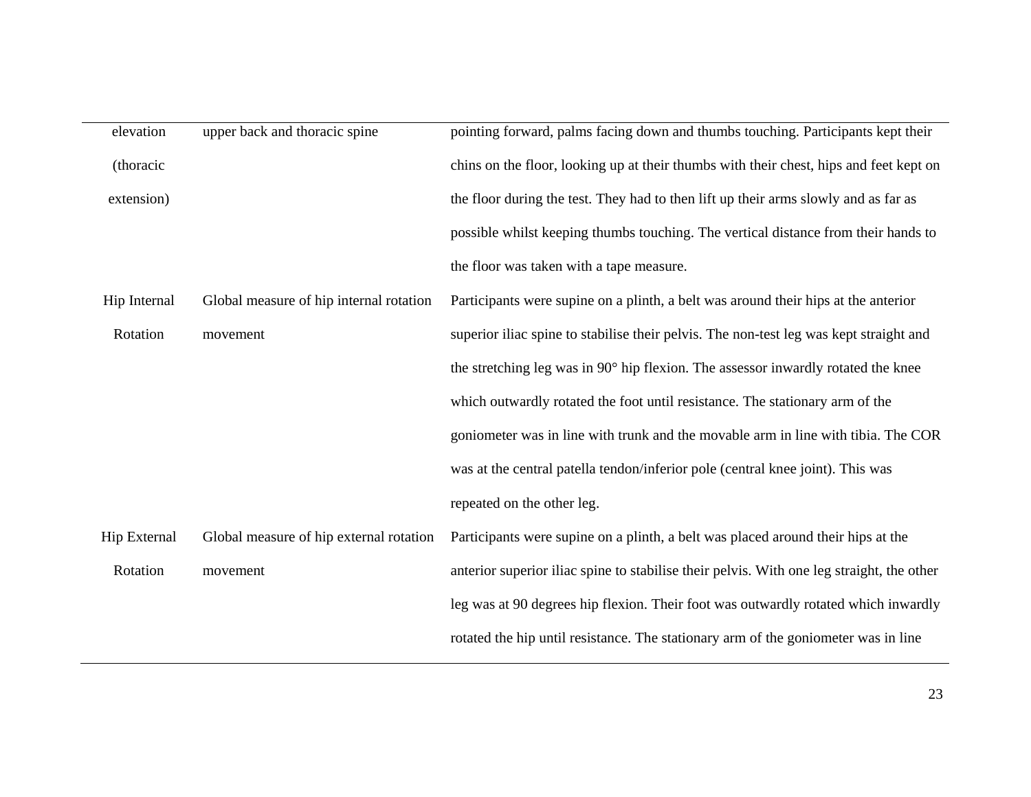| elevation    | upper back and thoracic spine           | pointing forward, palms facing down and thumbs touching. Participants kept their          |  |  |
|--------------|-----------------------------------------|-------------------------------------------------------------------------------------------|--|--|
| (thoracic    |                                         | chins on the floor, looking up at their thumbs with their chest, hips and feet kept on    |  |  |
| extension)   |                                         | the floor during the test. They had to then lift up their arms slowly and as far as       |  |  |
|              |                                         | possible whilst keeping thumbs touching. The vertical distance from their hands to        |  |  |
|              |                                         | the floor was taken with a tape measure.                                                  |  |  |
| Hip Internal | Global measure of hip internal rotation | Participants were supine on a plinth, a belt was around their hips at the anterior        |  |  |
| Rotation     | movement                                | superior iliac spine to stabilise their pelvis. The non-test leg was kept straight and    |  |  |
|              |                                         | the stretching leg was in 90° hip flexion. The assessor inwardly rotated the knee         |  |  |
|              |                                         | which outwardly rotated the foot until resistance. The stationary arm of the              |  |  |
|              |                                         | goniometer was in line with trunk and the movable arm in line with tibia. The COR         |  |  |
|              |                                         | was at the central patella tendon/inferior pole (central knee joint). This was            |  |  |
|              |                                         | repeated on the other leg.                                                                |  |  |
| Hip External | Global measure of hip external rotation | Participants were supine on a plinth, a belt was placed around their hips at the          |  |  |
| Rotation     | movement                                | anterior superior iliac spine to stabilise their pelvis. With one leg straight, the other |  |  |
|              |                                         | leg was at 90 degrees hip flexion. Their foot was outwardly rotated which inwardly        |  |  |
|              |                                         | rotated the hip until resistance. The stationary arm of the goniometer was in line        |  |  |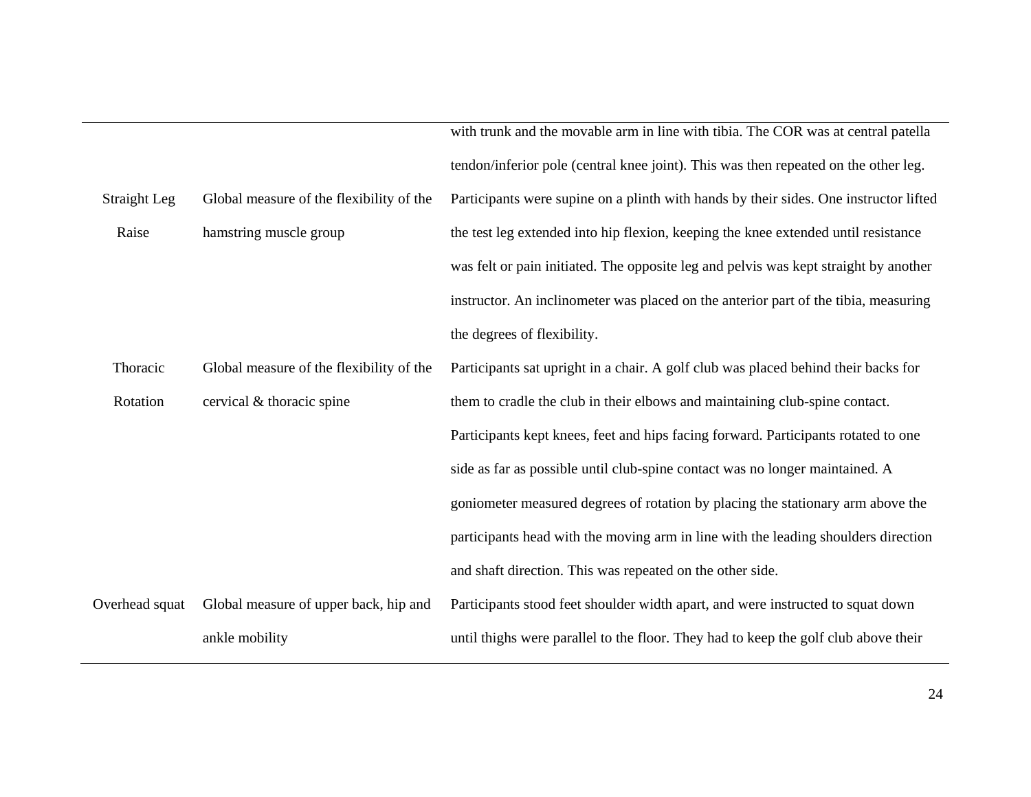|                |                                          | with trunk and the movable arm in line with tibia. The COR was at central patella     |  |  |
|----------------|------------------------------------------|---------------------------------------------------------------------------------------|--|--|
|                |                                          | tendon/inferior pole (central knee joint). This was then repeated on the other leg.   |  |  |
| Straight Leg   | Global measure of the flexibility of the | Participants were supine on a plinth with hands by their sides. One instructor lifted |  |  |
| Raise          | hamstring muscle group                   | the test leg extended into hip flexion, keeping the knee extended until resistance    |  |  |
|                |                                          | was felt or pain initiated. The opposite leg and pelvis was kept straight by another  |  |  |
|                |                                          | instructor. An inclinometer was placed on the anterior part of the tibia, measuring   |  |  |
|                |                                          | the degrees of flexibility.                                                           |  |  |
| Thoracic       | Global measure of the flexibility of the | Participants sat upright in a chair. A golf club was placed behind their backs for    |  |  |
| Rotation       | cervical & thoracic spine                | them to cradle the club in their elbows and maintaining club-spine contact.           |  |  |
|                |                                          | Participants kept knees, feet and hips facing forward. Participants rotated to one    |  |  |
|                |                                          | side as far as possible until club-spine contact was no longer maintained. A          |  |  |
|                |                                          | goniometer measured degrees of rotation by placing the stationary arm above the       |  |  |
|                |                                          | participants head with the moving arm in line with the leading shoulders direction    |  |  |
|                |                                          | and shaft direction. This was repeated on the other side.                             |  |  |
| Overhead squat | Global measure of upper back, hip and    | Participants stood feet shoulder width apart, and were instructed to squat down       |  |  |
|                | ankle mobility                           | until thighs were parallel to the floor. They had to keep the golf club above their   |  |  |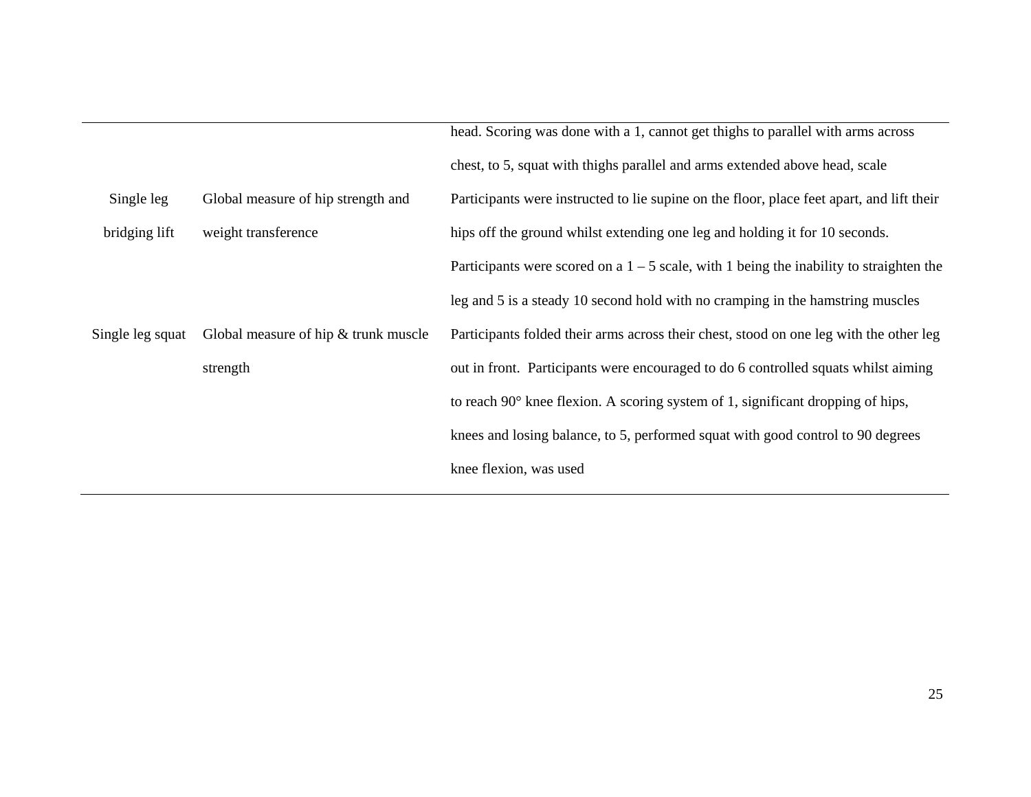|                  |                                        | head. Scoring was done with a 1, cannot get thighs to parallel with arms across           |
|------------------|----------------------------------------|-------------------------------------------------------------------------------------------|
|                  |                                        | chest, to 5, squat with thighs parallel and arms extended above head, scale               |
| Single leg       | Global measure of hip strength and     | Participants were instructed to lie supine on the floor, place feet apart, and lift their |
| bridging lift    | weight transference                    | hips off the ground whilst extending one leg and holding it for 10 seconds.               |
|                  |                                        | Participants were scored on a $1 - 5$ scale, with 1 being the inability to straighten the |
|                  |                                        | leg and 5 is a steady 10 second hold with no cramping in the hamstring muscles            |
| Single leg squat | Global measure of hip $&$ trunk muscle | Participants folded their arms across their chest, stood on one leg with the other leg    |
|                  | strength                               | out in front. Participants were encouraged to do 6 controlled squats whilst aiming        |
|                  |                                        | to reach $90^\circ$ knee flexion. A scoring system of 1, significant dropping of hips,    |
|                  |                                        | knees and losing balance, to 5, performed squat with good control to 90 degrees           |
|                  |                                        | knee flexion, was used                                                                    |
|                  |                                        |                                                                                           |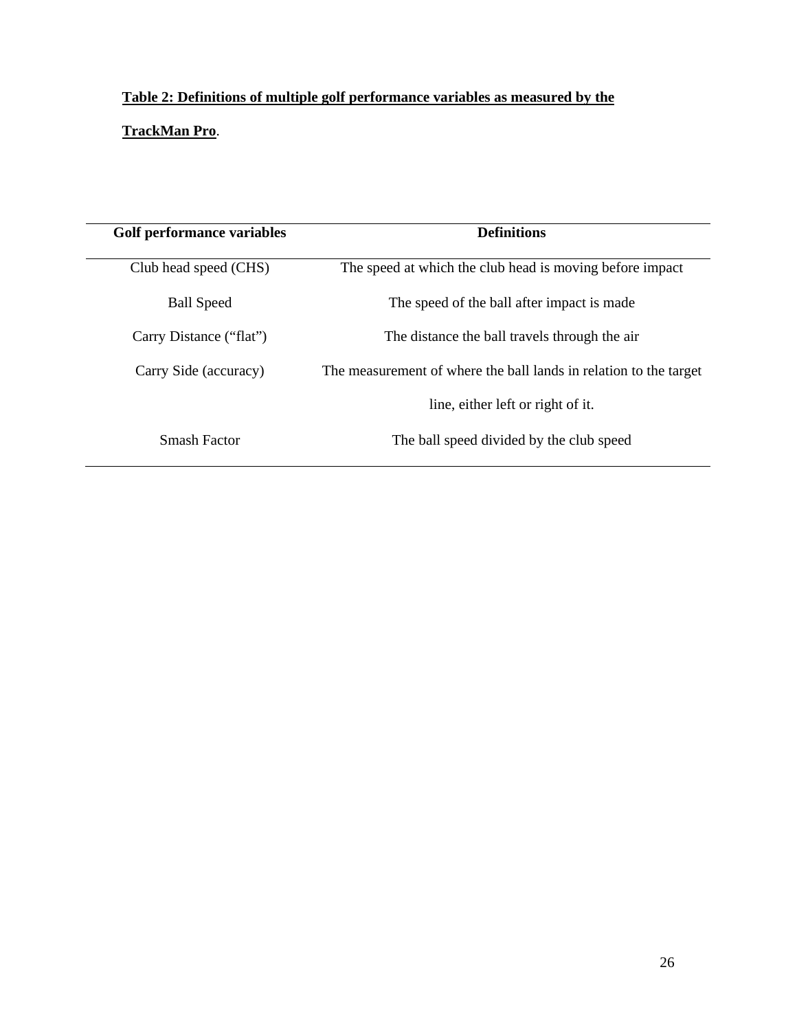# **Table 2: Definitions of multiple golf performance variables as measured by the**

# **TrackMan Pro**.

| Golf performance variables | <b>Definitions</b>                                                |  |
|----------------------------|-------------------------------------------------------------------|--|
| Club head speed (CHS)      | The speed at which the club head is moving before impact          |  |
| <b>Ball Speed</b>          | The speed of the ball after impact is made                        |  |
| Carry Distance ("flat")    | The distance the ball travels through the air                     |  |
| Carry Side (accuracy)      | The measurement of where the ball lands in relation to the target |  |
|                            | line, either left or right of it.                                 |  |
| Smash Factor               | The ball speed divided by the club speed                          |  |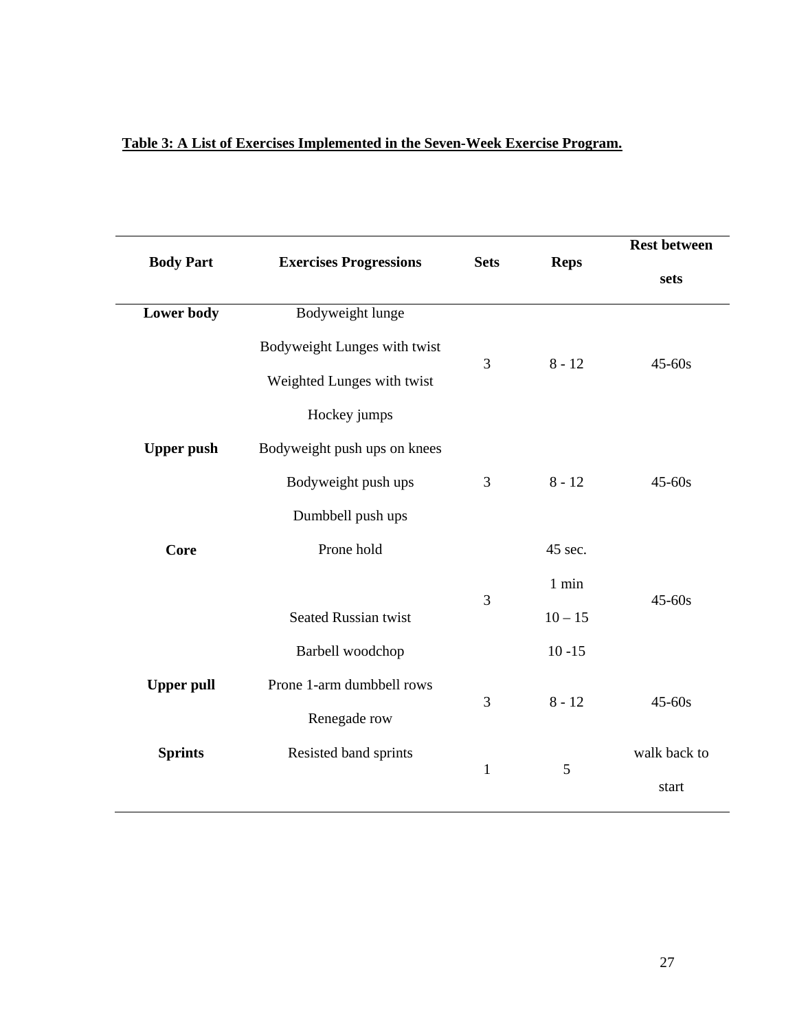| Table 3: A List of Exercises Implemented in the Seven-Week Exercise Program. |
|------------------------------------------------------------------------------|
|------------------------------------------------------------------------------|

 $\overline{a}$ 

|                   |                               |              |             | <b>Rest between</b> |
|-------------------|-------------------------------|--------------|-------------|---------------------|
| <b>Body Part</b>  | <b>Exercises Progressions</b> | <b>Sets</b>  | <b>Reps</b> | sets                |
| Lower body        | Bodyweight lunge              |              |             |                     |
|                   | Bodyweight Lunges with twist  | 3            | $8 - 12$    | $45 - 60s$          |
|                   | Weighted Lunges with twist    |              |             |                     |
|                   | Hockey jumps                  |              |             |                     |
| <b>Upper push</b> | Bodyweight push ups on knees  |              |             |                     |
|                   | Bodyweight push ups           | 3            | $8 - 12$    | $45 - 60s$          |
|                   | Dumbbell push ups             |              |             |                     |
| Core              | Prone hold                    |              | 45 sec.     |                     |
|                   |                               |              | $1$ min     |                     |
|                   | <b>Seated Russian twist</b>   | 3            | $10 - 15$   | $45 - 60s$          |
|                   | Barbell woodchop              |              | $10 - 15$   |                     |
| <b>Upper pull</b> | Prone 1-arm dumbbell rows     |              |             |                     |
|                   | Renegade row                  | 3            | $8 - 12$    | $45 - 60s$          |
| <b>Sprints</b>    | Resisted band sprints         |              | 5           | walk back to        |
|                   |                               | $\mathbf{1}$ |             | start               |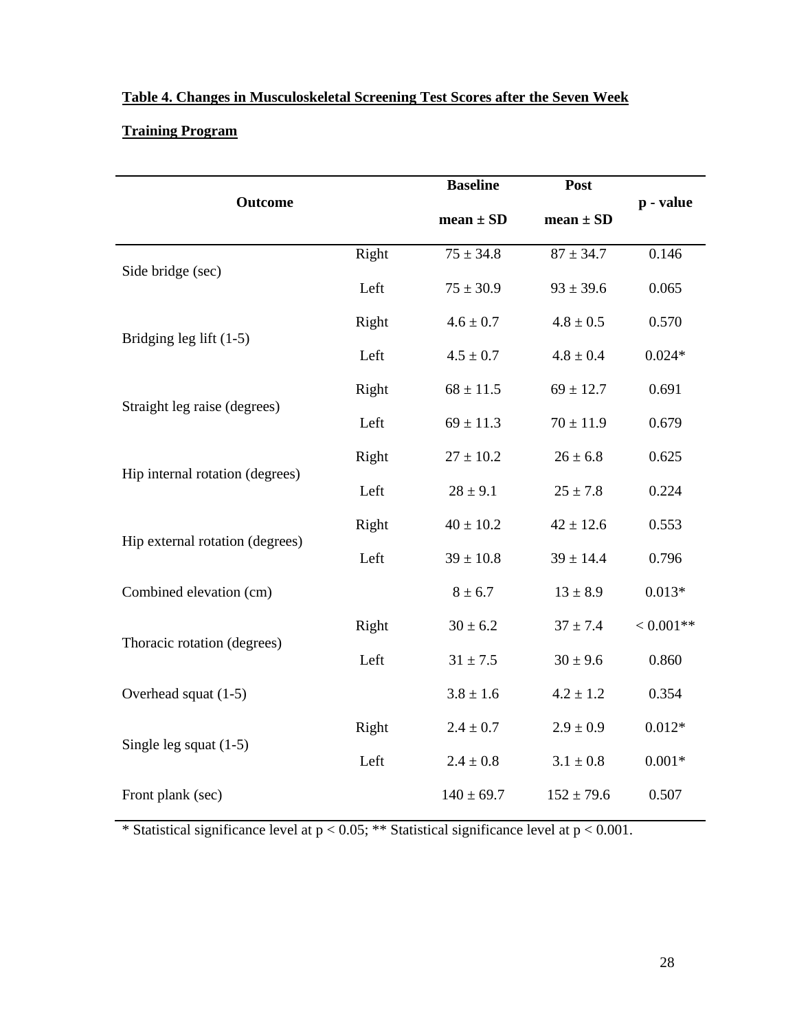# **Table 4. Changes in Musculoskeletal Screening Test Scores after the Seven Week**

# **Training Program**

|                                 |       | <b>Baseline</b> | Post           |             |  |
|---------------------------------|-------|-----------------|----------------|-------------|--|
| <b>Outcome</b>                  |       | $mean \pm SD$   | $mean \pm SD$  | p - value   |  |
| Side bridge (sec)               | Right | $75 \pm 34.8$   | $87 \pm 34.7$  | 0.146       |  |
|                                 | Left  | $75 \pm 30.9$   | $93 \pm 39.6$  | 0.065       |  |
| Bridging leg lift $(1-5)$       | Right | $4.6 \pm 0.7$   | $4.8 \pm 0.5$  | 0.570       |  |
|                                 | Left  | $4.5 \pm 0.7$   | $4.8 \pm 0.4$  | $0.024*$    |  |
| Straight leg raise (degrees)    | Right | $68 \pm 11.5$   | $69 \pm 12.7$  | 0.691       |  |
|                                 | Left  | $69 \pm 11.3$   | $70 \pm 11.9$  | 0.679       |  |
| Hip internal rotation (degrees) | Right | $27 \pm 10.2$   | $26 \pm 6.8$   | 0.625       |  |
|                                 | Left  | $28 \pm 9.1$    | $25 \pm 7.8$   | 0.224       |  |
| Hip external rotation (degrees) | Right | $40 \pm 10.2$   | $42 \pm 12.6$  | 0.553       |  |
|                                 | Left  | $39 \pm 10.8$   | $39 \pm 14.4$  | 0.796       |  |
| Combined elevation (cm)         |       | $8 \pm 6.7$     | $13 \pm 8.9$   | $0.013*$    |  |
|                                 | Right | $30 \pm 6.2$    | $37 \pm 7.4$   | $< 0.001**$ |  |
| Thoracic rotation (degrees)     | Left  | $31 \pm 7.5$    | $30 \pm 9.6$   | 0.860       |  |
| Overhead squat (1-5)            |       | $3.8 \pm 1.6$   | $4.2 \pm 1.2$  | 0.354       |  |
|                                 | Right | $2.4 \pm 0.7$   | $2.9 \pm 0.9$  | $0.012*$    |  |
| Single leg squat $(1-5)$        | Left  | $2.4 \pm 0.8$   | $3.1 \pm 0.8$  | $0.001*$    |  |
| Front plank (sec)               |       | $140 \pm 69.7$  | $152 \pm 79.6$ | 0.507       |  |

\* Statistical significance level at p < 0.05; \*\* Statistical significance level at p < 0.001.